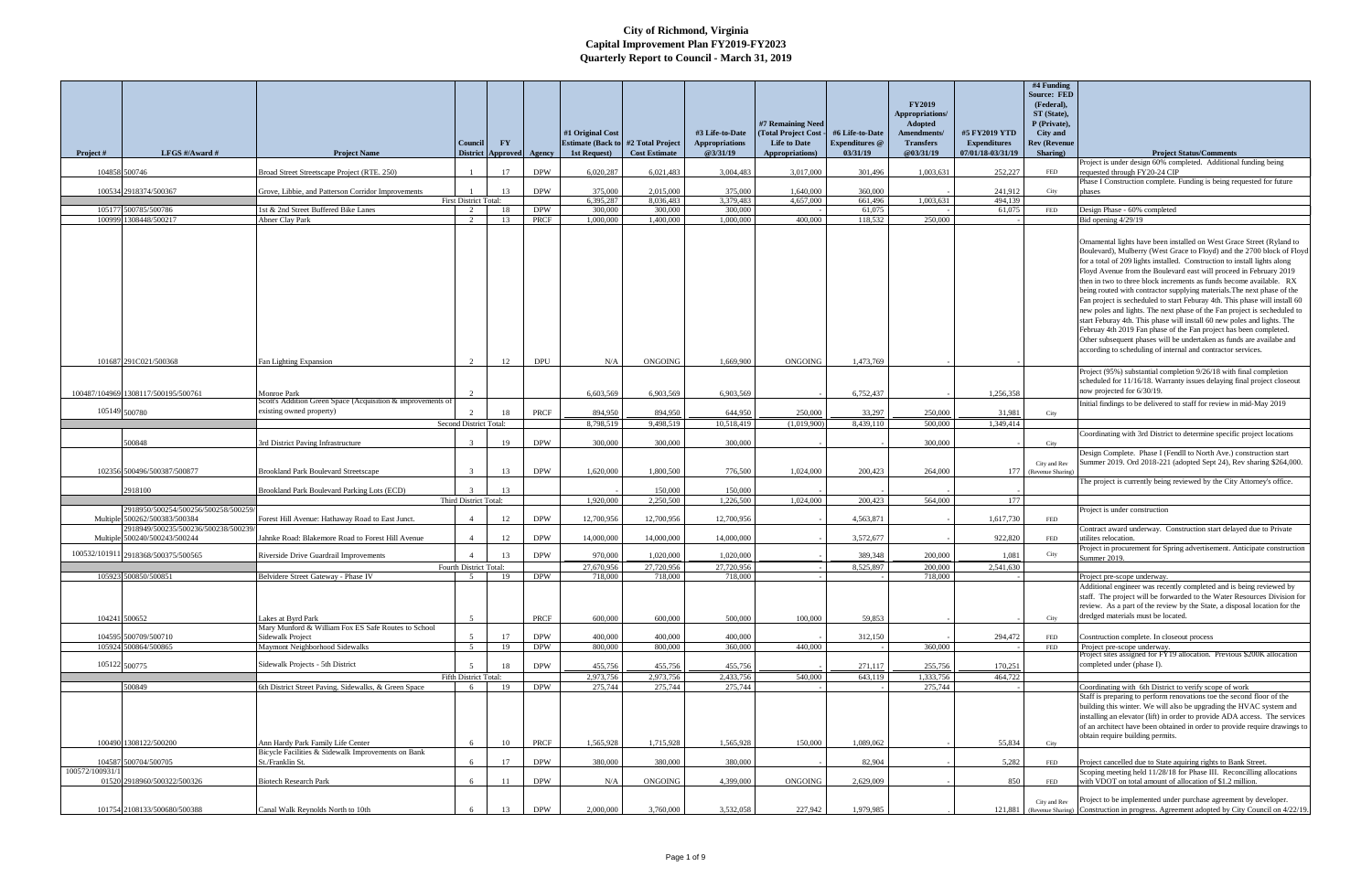|                 |                                      |                                                                                         |                            |                                           |             |                                                            |                      |                            |                                        |                                   |                               |                                          | #4 Funding                      |                                                                                                                                                          |
|-----------------|--------------------------------------|-----------------------------------------------------------------------------------------|----------------------------|-------------------------------------------|-------------|------------------------------------------------------------|----------------------|----------------------------|----------------------------------------|-----------------------------------|-------------------------------|------------------------------------------|---------------------------------|----------------------------------------------------------------------------------------------------------------------------------------------------------|
|                 |                                      |                                                                                         |                            |                                           |             |                                                            |                      |                            |                                        |                                   | <b>FY2019</b>                 |                                          | <b>Source: FED</b>              |                                                                                                                                                          |
|                 |                                      |                                                                                         |                            |                                           |             |                                                            |                      |                            |                                        |                                   | Appropriations/               |                                          | (Federal),<br>ST (State),       |                                                                                                                                                          |
|                 |                                      |                                                                                         |                            |                                           |             |                                                            |                      |                            | #7 Remaining Need                      |                                   | <b>Adopted</b>                |                                          | P (Private).                    |                                                                                                                                                          |
|                 |                                      |                                                                                         |                            |                                           |             | #1 Original Cost                                           |                      | #3 Life-to-Date            | (Total Project Cost                    | #6 Life-to-Date                   | Amendments/                   | #5 FY2019 YTD                            | City and                        |                                                                                                                                                          |
| Project #       | LFGS $\#/$ Award $\#$                | <b>Project Name</b>                                                                     | Council<br><b>District</b> | $\mathbf{F}\mathbf{Y}$<br><b>Approved</b> | Agency      | <b>Estimate (Back to #2 Total Project)</b><br>1st Request) | <b>Cost Estimate</b> | Appropriations<br>@3/31/19 | <b>Life to Date</b><br>Appropriations) | <b>Expenditures</b> @<br>03/31/19 | <b>Transfers</b><br>@03/31/19 | <b>Expenditures</b><br>07/01/18-03/31/19 | <b>Rev (Revenue</b><br>Sharing) | <b>Project Status/Comments</b>                                                                                                                           |
|                 |                                      |                                                                                         |                            |                                           |             |                                                            |                      |                            |                                        |                                   |                               |                                          |                                 | Project is under design 60% completed. Additional funding being                                                                                          |
|                 | 104858 500746                        | Broad Street Streetscape Project (RTE. 250)                                             |                            | 17                                        | <b>DPW</b>  | 6,020,287                                                  | 6,021,483            | 3,004,483                  | 3,017,000                              | 301,496                           | 1,003,631                     | 252,227                                  | FED                             | requested through FY20-24 CIP                                                                                                                            |
|                 | 100534 2918374/500367                | Grove, Libbie, and Patterson Corridor Improvements                                      |                            | 13                                        | <b>DPW</b>  | 375,000                                                    | 2,015,000            | 375,000                    | 1,640,000                              | 360,000                           |                               | 241,912                                  | City                            | Phase I Construction complete. Funding is being requested for future<br>phases                                                                           |
|                 |                                      |                                                                                         | First District Total:      |                                           |             | 6,395,287                                                  | 8,036,483            | 3,379,483                  | 4,657,000                              | 661,496                           | 1.003.631                     | 494,139                                  |                                 |                                                                                                                                                          |
|                 | 105177 500785/500786                 | 1st & 2nd Street Buffered Bike Lanes                                                    | 2                          | 18                                        | <b>DPW</b>  | 300,000                                                    | 300,000              | 300,000                    |                                        | 61,075                            |                               | 61,075                                   | FED                             | Design Phase - 60% completed                                                                                                                             |
|                 | 100999 1308448/500217                | <b>Abner Clay Park</b>                                                                  | 2                          | 13                                        | PRCF        | 1,000,000                                                  | 1,400,000            | 1,000,000                  | 400,000                                | 118.532                           | 250,000                       |                                          |                                 | Bid opening 4/29/19                                                                                                                                      |
|                 |                                      |                                                                                         |                            |                                           |             |                                                            |                      |                            |                                        |                                   |                               |                                          |                                 | Ornamental lights have been installed on West Grace Street (Ryland to                                                                                    |
|                 |                                      |                                                                                         |                            |                                           |             |                                                            |                      |                            |                                        |                                   |                               |                                          |                                 | Boulevard), Mulberry (West Grace to Floyd) and the 2700 block of Floyd                                                                                   |
|                 |                                      |                                                                                         |                            |                                           |             |                                                            |                      |                            |                                        |                                   |                               |                                          |                                 | for a total of 209 lights installed. Construction to install lights along                                                                                |
|                 |                                      |                                                                                         |                            |                                           |             |                                                            |                      |                            |                                        |                                   |                               |                                          |                                 | Floyd Avenue from the Boulevard east will proceed in February 2019<br>then in two to three block increments as funds become available. RX                |
|                 |                                      |                                                                                         |                            |                                           |             |                                                            |                      |                            |                                        |                                   |                               |                                          |                                 | being routed with contractor supplying materials. The next phase of the                                                                                  |
|                 |                                      |                                                                                         |                            |                                           |             |                                                            |                      |                            |                                        |                                   |                               |                                          |                                 | Fan project is secheduled to start Feburay 4th. This phase will install 60                                                                               |
|                 |                                      |                                                                                         |                            |                                           |             |                                                            |                      |                            |                                        |                                   |                               |                                          |                                 | new poles and lights. The next phase of the Fan project is secheduled to                                                                                 |
|                 |                                      |                                                                                         |                            |                                           |             |                                                            |                      |                            |                                        |                                   |                               |                                          |                                 | start Feburay 4th. This phase will install 60 new poles and lights. The<br>Februay 4th 2019 Fan phase of the Fan project has been completed.             |
|                 |                                      |                                                                                         |                            |                                           |             |                                                            |                      |                            |                                        |                                   |                               |                                          |                                 | Other subsequent phases will be undertaken as funds are availabe and                                                                                     |
|                 |                                      |                                                                                         |                            |                                           |             |                                                            |                      |                            |                                        |                                   |                               |                                          |                                 | according to scheduling of internal and contractor services.                                                                                             |
|                 | 101687 291C021/500368                | Fan Lighting Expansion                                                                  | $\gamma$                   | 12                                        | <b>DPL</b>  | N/A                                                        | <b>ONGOING</b>       | 1.669.900                  | <b>ONGOING</b>                         | 1,473,769                         |                               |                                          |                                 |                                                                                                                                                          |
|                 |                                      |                                                                                         |                            |                                           |             |                                                            |                      |                            |                                        |                                   |                               |                                          |                                 | Project (95%) substantial completion 9/26/18 with final completion<br>scheduled for 11/16/18. Warranty issues delaying final project closeout            |
|                 | 100487/104969 1308117/500195/500761  | Monroe Park                                                                             |                            |                                           |             | 6.603.569                                                  | 6.903.569            | 6.903.569                  |                                        | 6,752,437                         |                               | 1,256,358                                |                                 | now projected for 6/30/19.                                                                                                                               |
|                 |                                      | Scott's Addition Green Space (Acquisition & improvements of                             |                            |                                           |             |                                                            |                      |                            |                                        |                                   |                               |                                          |                                 | Initial findings to be delivered to staff for review in mid-May 2019                                                                                     |
|                 | 105149 500780                        | existing owned property)                                                                |                            | 18                                        | <b>PRCF</b> | 894,950                                                    | 894,950              | 644,950                    | 250,000                                | 33,297                            | 250,000                       | 31,981                                   | City                            |                                                                                                                                                          |
|                 |                                      |                                                                                         | Second District Total:     |                                           |             | 8,798,519                                                  | 9,498,519            | 10,518,419                 | (1,019,900)                            | 8,439,110                         | 500,000                       | 1,349,414                                |                                 |                                                                                                                                                          |
|                 | 500848                               | <b>Brd District Paving Infrastructure</b>                                               |                            | 19                                        | <b>DPW</b>  | 300,000                                                    | 300,000              | 300,000                    |                                        |                                   | 300,000                       |                                          | City                            | Coordinating with 3rd District to determine specific project locations                                                                                   |
|                 |                                      |                                                                                         |                            |                                           |             |                                                            |                      |                            |                                        |                                   |                               |                                          |                                 | Design Complete. Phase I (Fendll to North Ave.) construction start                                                                                       |
|                 | 102356 500496/500387/500877          |                                                                                         | $\mathcal{R}$              |                                           |             |                                                            | 1,800,500            |                            |                                        | 200,423                           |                               |                                          | City and Rev                    | Summer 2019. Ord 2018-221 (adopted Sept 24), Rev sharing \$264,000.                                                                                      |
|                 |                                      | <b>Brookland Park Boulevard Streetscape</b>                                             |                            | 13                                        | <b>DPW</b>  | 1,620,000                                                  |                      | 776,500                    | 1,024,000                              |                                   | 264,000                       | 177                                      | (Revenue Sharing)               | The project is currently being reviewed by the City Attorney's office.                                                                                   |
|                 | 2918100                              | Brookland Park Boulevard Parking Lots (ECD)                                             |                            | 13                                        |             |                                                            | 150,000              | 150,000                    |                                        |                                   |                               |                                          |                                 |                                                                                                                                                          |
|                 | 2918950/500254/500256/500258/500259/ |                                                                                         | Third District Total:      |                                           |             | 1,920,000                                                  | 2,250,500            | 1,226,500                  | 1,024,000                              | 200,423                           | 564,000                       | 177                                      |                                 |                                                                                                                                                          |
|                 | Multiple 500262/500383/500384        | Forest Hill Avenue: Hathaway Road to East Junct.                                        | $\overline{4}$             | 12                                        | <b>DPW</b>  | 12,700,956                                                 | 12,700,956           | 12,700,956                 |                                        | 4,563,871                         |                               | 1,617,730                                | FED                             | Project is under construction                                                                                                                            |
|                 | 2918949/500235/500236/500238/500239  |                                                                                         |                            |                                           |             |                                                            |                      |                            |                                        |                                   |                               |                                          |                                 | Contract award underway. Construction start delayed due to Private                                                                                       |
|                 | Multiple 500240/500243/500244        | Jahnke Road: Blakemore Road to Forest Hill Avenue                                       |                            | 12                                        | <b>DPW</b>  | 14,000,000                                                 | 14,000,000           | 14,000,000                 |                                        | 3,572,677                         |                               | 922,820                                  | FED                             | utilites relocation.<br>Project in procurement for Spring advertisement. Anticipate construction                                                         |
|                 | 100532/101911 2918368/500375/500565  | Riverside Drive Guardrail Improvements                                                  |                            | 13                                        | <b>DPW</b>  | 970,000                                                    | 1,020,000            | 1,020,000                  |                                        | 389,348                           | 200,000                       | 1,081                                    | City                            | Summer 2019.                                                                                                                                             |
|                 |                                      |                                                                                         | Fourth District Total:     |                                           |             | 27,670,956                                                 | 27,720,956           | 27,720,956                 |                                        | 8,525,897                         | 200,000                       | 2,541,630                                |                                 |                                                                                                                                                          |
|                 | 105923 500850/500851                 | Belvidere Street Gateway - Phase IV                                                     | 5                          | 19                                        | <b>DPW</b>  | 718,000                                                    | 718,000              | 718,000                    |                                        |                                   | 718,000                       |                                          |                                 | Project pre-scope underway<br>Additional engineer was recently completed and is being reviewed by                                                        |
|                 |                                      |                                                                                         |                            |                                           |             |                                                            |                      |                            |                                        |                                   |                               |                                          |                                 | staff. The project will be forwarded to the Water Resources Division for                                                                                 |
|                 |                                      |                                                                                         |                            |                                           |             |                                                            |                      |                            |                                        |                                   |                               |                                          |                                 | review. As a part of the review by the State, a disposal location for the                                                                                |
|                 | 104241 500652                        | Lakes at Byrd Park                                                                      | $\sim$                     |                                           | PRCF        | 600,000                                                    | 600,000              | 500,000                    | 100,000                                | 59,853                            |                               |                                          | City                            | dredged materials must be located.                                                                                                                       |
|                 | 104595 500709/500710                 | Mary Munford & William Fox ES Safe Routes to School<br>Sidewalk Project                 | 5                          | 17                                        | <b>DPW</b>  | 400,000                                                    | 400,000              | 400,000                    |                                        | 312,150                           |                               | 294,472                                  | FED                             | Cosntruction complete. In closeout process                                                                                                               |
|                 | 105924 500864/500865                 | Maymont Neighborhood Sidewalks                                                          | 5 <sup>5</sup>             | 19                                        | <b>DPW</b>  | 800,000                                                    | 800,000              | 360,000                    | 440,000                                |                                   | 360,000                       |                                          | FED                             | Project pre-scope underway.                                                                                                                              |
|                 |                                      | Sidewalk Projects - 5th District                                                        |                            |                                           |             |                                                            |                      |                            |                                        |                                   |                               |                                          |                                 | Project sites assigned for FY19 allocation. Previous \$200K allocation                                                                                   |
|                 | 105122 500775                        |                                                                                         | Fifth District Total:      | 18                                        | <b>DPW</b>  | 455,756<br>2,973,756                                       | 455,756<br>2,973,756 | 455,756<br>2,433,756       | 540,000                                | 271,117<br>643,119                | 255,756<br>1,333,756          | 170,251<br>464,722                       |                                 | completed under (phase I).                                                                                                                               |
|                 | 500849                               | 6th District Street Paving, Sidewalks, & Green Space                                    |                            | 19                                        | <b>DPW</b>  | 275,744                                                    | 275,744              | 275,744                    |                                        |                                   | 275,744                       |                                          |                                 | Coordinating with 6th District to verify scope of work                                                                                                   |
|                 |                                      |                                                                                         |                            |                                           |             |                                                            |                      |                            |                                        |                                   |                               |                                          |                                 | Staff is preparing to perform renovations toe the second floor of the                                                                                    |
|                 |                                      |                                                                                         |                            |                                           |             |                                                            |                      |                            |                                        |                                   |                               |                                          |                                 | building this winter. We will also be upgrading the HVAC system and                                                                                      |
|                 |                                      |                                                                                         |                            |                                           |             |                                                            |                      |                            |                                        |                                   |                               |                                          |                                 | installing an elevator (lift) in order to provide ADA access. The services<br>of an architect have been obtained in order to provide require drawings to |
|                 |                                      |                                                                                         |                            |                                           |             |                                                            |                      |                            |                                        |                                   |                               |                                          |                                 | obtain require building permits.                                                                                                                         |
|                 | 100490 1308122/500200                | Ann Hardy Park Family Life Center<br>Bicycle Facilities & Sidewalk Improvements on Bank | -6                         | 10                                        | PRCF        | 1,565,928                                                  | 1,715,928            | 1,565,928                  | 150,000                                | 1.089.062                         |                               | 55,834                                   | City                            |                                                                                                                                                          |
|                 | 104587 500704/500705                 | St./Franklin St.                                                                        |                            | 17                                        | <b>DPW</b>  | 380,000                                                    | 380,000              | 380,000                    |                                        | 82,904                            |                               | 5,282                                    | FED                             | Project cancelled due to State aquiring rights to Bank Street.                                                                                           |
| 100572/100931/1 |                                      |                                                                                         |                            |                                           |             |                                                            |                      |                            |                                        |                                   |                               |                                          |                                 | Scoping meeting held 11/28/18 for Phase III. Reconcilling allocations                                                                                    |
|                 | 01520 2918960/500322/500326          | <b>Biotech Research Park</b>                                                            | 6                          | 11                                        | <b>DPW</b>  | N/A                                                        | ONGOING              | 4,399,000                  | <b>ONGOING</b>                         | 2,629,009                         |                               | 850                                      | FED                             | with VDOT on total amount of allocation of \$1.2 million.                                                                                                |
|                 |                                      |                                                                                         |                            |                                           |             |                                                            |                      |                            |                                        |                                   |                               |                                          | City and Rev                    | Project to be implemented under purchase agreement by developer.                                                                                         |
|                 | 101754 2108133/500680/500388         | Canal Walk Reynolds North to 10th                                                       |                            | 13                                        | <b>DPW</b>  | 2,000,000                                                  | 3,760,000            | 3,532,058                  | 227,942                                | 1,979,985                         |                               | 121.881                                  |                                 | (Revenue Sharing) Construction in progress. Agreement adopted by City Council on 4/22/19.                                                                |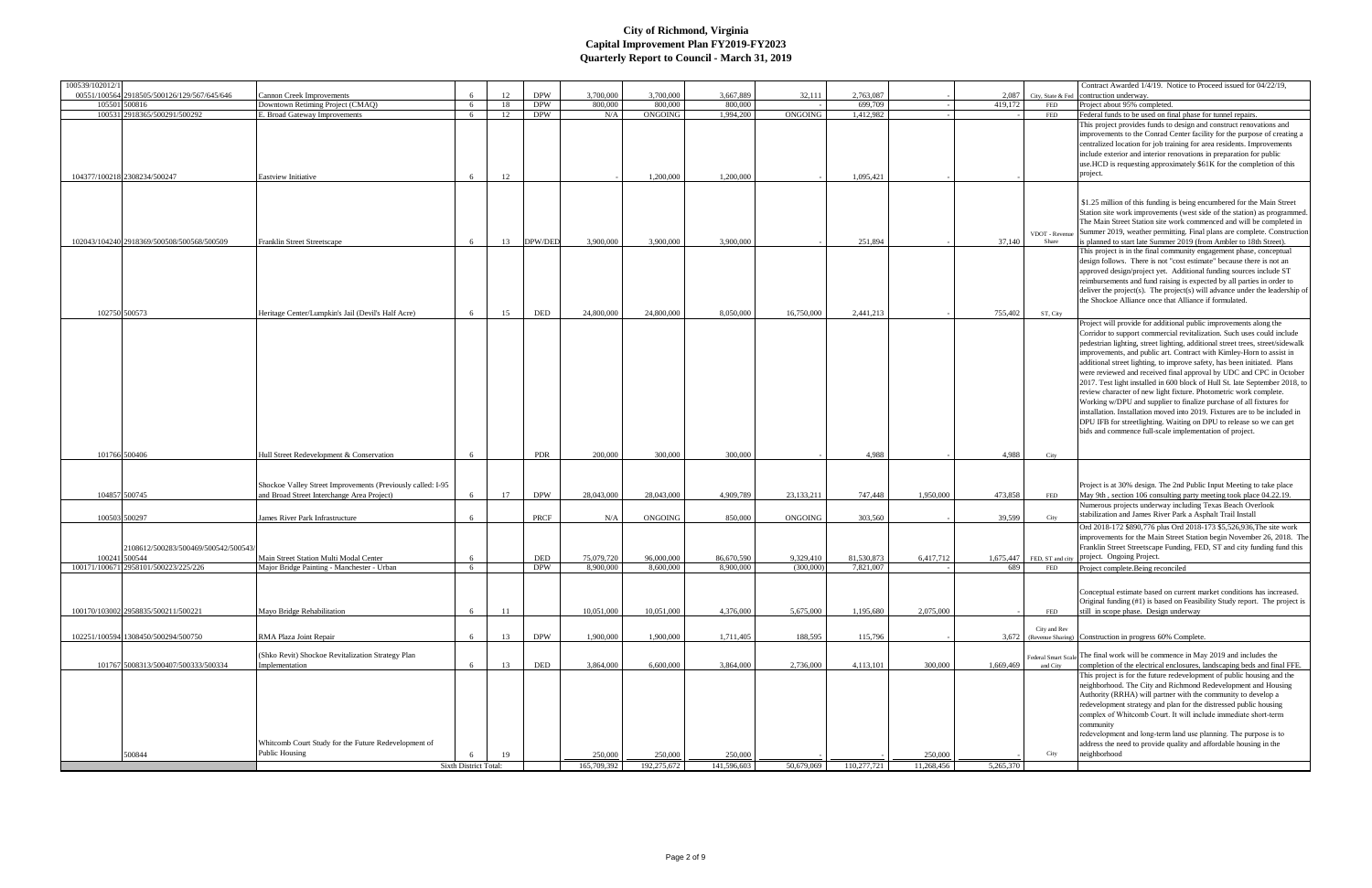| 100539/102012/1 |                                               |                                                                                                           |                       |          |                          |                |                    |                      |                |                      |            |           |                        | Contract Awarded 1/4/19. Notice to Proceed issued for 04/22/19,                                                                                    |
|-----------------|-----------------------------------------------|-----------------------------------------------------------------------------------------------------------|-----------------------|----------|--------------------------|----------------|--------------------|----------------------|----------------|----------------------|------------|-----------|------------------------|----------------------------------------------------------------------------------------------------------------------------------------------------|
|                 | 00551/100564 2918505/500126/129/567/645/646   | <b>Cannon Creek Improvements</b>                                                                          | -6                    | 12       | <b>DPW</b>               | 3,700,000      | 3,700,000          | 3,667,889            | 32,111         | 2,763,087            |            | 2.087     | City, State & Fed      | contruction underway                                                                                                                               |
|                 | 105501 500816<br>100531 2918365/500291/500292 | Downtown Retiming Project (CMAO)<br>E. Broad Gateway Improvements                                         | 6<br>6                | 18<br>12 | <b>DPW</b><br><b>DPW</b> | 800.000<br>N/A | 800,000<br>ONGOING | 800,000<br>1,994,200 | ONGOING        | 699,709<br>1,412,982 |            | 419,172   | FED<br>FED             | Project about 95% completed.                                                                                                                       |
|                 |                                               |                                                                                                           |                       |          |                          |                |                    |                      |                |                      |            |           |                        | Federal funds to be used on final phase for tunnel repairs.<br>This project provides funds to design and construct renovations and                 |
|                 |                                               |                                                                                                           |                       |          |                          |                |                    |                      |                |                      |            |           |                        | improvements to the Conrad Center facility for the purpose of creating a                                                                           |
|                 |                                               |                                                                                                           |                       |          |                          |                |                    |                      |                |                      |            |           |                        | centralized location for job training for area residents. Improvements                                                                             |
|                 |                                               |                                                                                                           |                       |          |                          |                |                    |                      |                |                      |            |           |                        | include exterior and interior renovations in preparation for public                                                                                |
|                 |                                               |                                                                                                           |                       |          |                          |                |                    |                      |                |                      |            |           |                        | use.HCD is requesting approximately \$61K for the completion of this                                                                               |
|                 | 104377/100218 2308234/500247                  | <b>Eastview Initiative</b>                                                                                | -6                    | 12       |                          |                | 1,200,000          | 1,200,000            |                | 1,095,421            |            |           |                        | project.                                                                                                                                           |
|                 |                                               |                                                                                                           |                       |          |                          |                |                    |                      |                |                      |            |           |                        |                                                                                                                                                    |
|                 |                                               |                                                                                                           |                       |          |                          |                |                    |                      |                |                      |            |           |                        | \$1.25 million of this funding is being encumbered for the Main Street                                                                             |
|                 |                                               |                                                                                                           |                       |          |                          |                |                    |                      |                |                      |            |           |                        | Station site work improvements (west side of the station) as programmed.                                                                           |
|                 |                                               |                                                                                                           |                       |          |                          |                |                    |                      |                |                      |            |           |                        | The Main Street Station site work commenced and will be completed in                                                                               |
|                 |                                               |                                                                                                           |                       |          |                          |                |                    |                      |                |                      |            |           | VDOT - Revenu          | Summer 2019, weather permitting. Final plans are complete. Construction                                                                            |
|                 | 102043/104240 2918369/500508/500568/500509    | <b>Franklin Street Streetscape</b>                                                                        | -6                    | 13       | DPW/DED                  | 3,900,000      | 3,900,000          | 3,900,000            |                | 251,894              |            | 37,140    | Share                  | is planned to start late Summer 2019 (from Ambler to 18th Street).                                                                                 |
|                 |                                               |                                                                                                           |                       |          |                          |                |                    |                      |                |                      |            |           |                        | This project is in the final community engagement phase, conceptual                                                                                |
|                 |                                               |                                                                                                           |                       |          |                          |                |                    |                      |                |                      |            |           |                        | design follows. There is not "cost estimate" because there is not an                                                                               |
|                 |                                               |                                                                                                           |                       |          |                          |                |                    |                      |                |                      |            |           |                        | approved design/project yet. Additional funding sources include ST<br>reimbursements and fund raising is expected by all parties in order to       |
|                 |                                               |                                                                                                           |                       |          |                          |                |                    |                      |                |                      |            |           |                        | deliver the project(s). The project(s) will advance under the leadership of                                                                        |
|                 |                                               |                                                                                                           |                       |          |                          |                |                    |                      |                |                      |            |           |                        | the Shockoe Alliance once that Alliance if formulated.                                                                                             |
|                 | 102750 500573                                 | Heritage Center/Lumpkin's Jail (Devil's Half Acre)                                                        | -6                    | 15       | DED                      | 24,800,000     | 24,800,000         | 8,050,000            | 16,750,000     | 2,441,213            |            | 755,402   | ST, City               |                                                                                                                                                    |
|                 |                                               |                                                                                                           |                       |          |                          |                |                    |                      |                |                      |            |           |                        | Project will provide for additional public improvements along the                                                                                  |
|                 |                                               |                                                                                                           |                       |          |                          |                |                    |                      |                |                      |            |           |                        | Corridor to support commercial revitalization. Such uses could include                                                                             |
|                 |                                               |                                                                                                           |                       |          |                          |                |                    |                      |                |                      |            |           |                        | pedestrian lighting, street lighting, additional street trees, street/sidewalk                                                                     |
|                 |                                               |                                                                                                           |                       |          |                          |                |                    |                      |                |                      |            |           |                        | improvements, and public art. Contract with Kimley-Horn to assist in                                                                               |
|                 |                                               |                                                                                                           |                       |          |                          |                |                    |                      |                |                      |            |           |                        | additional street lighting, to improve safety, has been initiated. Plans                                                                           |
|                 |                                               |                                                                                                           |                       |          |                          |                |                    |                      |                |                      |            |           |                        | were reviewed and received final approval by UDC and CPC in October<br>2017. Test light installed in 600 block of Hull St. late September 2018, to |
|                 |                                               |                                                                                                           |                       |          |                          |                |                    |                      |                |                      |            |           |                        | review character of new light fixture. Photometric work complete.                                                                                  |
|                 |                                               |                                                                                                           |                       |          |                          |                |                    |                      |                |                      |            |           |                        | Working w/DPU and supplier to finalize purchase of all fixtures for                                                                                |
|                 |                                               |                                                                                                           |                       |          |                          |                |                    |                      |                |                      |            |           |                        | installation. Installation moved into 2019. Fixtures are to be included in                                                                         |
|                 |                                               |                                                                                                           |                       |          |                          |                |                    |                      |                |                      |            |           |                        | DPU IFB for streetlighting. Waiting on DPU to release so we can get                                                                                |
|                 |                                               |                                                                                                           |                       |          |                          |                |                    |                      |                |                      |            |           |                        | bids and commence full-scale implementation of project.                                                                                            |
|                 |                                               |                                                                                                           |                       |          |                          |                |                    |                      |                |                      |            |           |                        |                                                                                                                                                    |
|                 | 101766 500406                                 | Hull Street Redevelopment & Conservation                                                                  |                       |          | <b>PDR</b>               | 200,000        | 300,000            | 300,000              |                | 4,988                |            | 4,988     | City                   |                                                                                                                                                    |
|                 |                                               |                                                                                                           |                       |          |                          |                |                    |                      |                |                      |            |           |                        |                                                                                                                                                    |
|                 |                                               |                                                                                                           |                       |          |                          |                |                    |                      |                |                      |            |           |                        |                                                                                                                                                    |
|                 | 104857 500745                                 | Shockoe Valley Street Improvements (Previously called: I-95<br>and Broad Street Interchange Area Project) | -6                    | 17       | <b>DPW</b>               | 28,043,000     | 28,043,000         | 4,909,789            | 23,133,211     | 747,448              | 1,950,000  | 473.858   | FED                    | Project is at 30% design. The 2nd Public Input Meeting to take place                                                                               |
|                 |                                               |                                                                                                           |                       |          |                          |                |                    |                      |                |                      |            |           |                        | May 9th, section 106 consulting party meeting took place 04.22.19.<br>Numerous projects underway including Texas Beach Overlook                    |
|                 | 100503 500297                                 | James River Park Infrastructure                                                                           | 6                     |          | PRCF                     | N/A            | ONGOING            | 850,000              | <b>ONGOING</b> | 303,560              |            | 39,599    |                        | stabilization and James River Park a Asphalt Trail Install                                                                                         |
|                 |                                               |                                                                                                           |                       |          |                          |                |                    |                      |                |                      |            |           | City                   | Ord 2018-172 \$890,776 plus Ord 2018-173 \$5,526,936, The site work                                                                                |
|                 |                                               |                                                                                                           |                       |          |                          |                |                    |                      |                |                      |            |           |                        | improvements for the Main Street Station begin November 26, 2018. The                                                                              |
|                 | 2108612/500283/500469/500542/500543           |                                                                                                           |                       |          |                          |                |                    |                      |                |                      |            |           |                        | Franklin Street Streetscape Funding, FED, ST and city funding fund this                                                                            |
|                 | 100241 500544                                 | Main Street Station Multi Modal Center                                                                    |                       |          | <b>DED</b>               | 75,079,720     | 96,000,000         | 86,670,590           | 9,329,410      | 81,530,873           | 6,417,712  | 1,675,447 | FED, ST and city       | project. Ongoing Project.                                                                                                                          |
|                 | 100171/100671 2958101/500223/225/226          | Major Bridge Painting - Manchester - Urban                                                                | 6                     |          | <b>DPW</b>               | 8,900,000      | 8,600,000          | 8,900,000            | (300,000)      | 7,821,007            |            | 689       | FED                    | Project complete. Being reconciled                                                                                                                 |
|                 |                                               |                                                                                                           |                       |          |                          |                |                    |                      |                |                      |            |           |                        |                                                                                                                                                    |
|                 |                                               |                                                                                                           |                       |          |                          |                |                    |                      |                |                      |            |           |                        | Conceptual estimate based on current market conditions has increased.                                                                              |
|                 |                                               |                                                                                                           |                       |          |                          |                |                    |                      |                |                      |            |           |                        | Original funding (#1) is based on Feasibility Study report. The project is                                                                         |
|                 | 100170/103002 2958835/500211/500221           | Mayo Bridge Rehabilitation                                                                                | -6                    | -11      |                          | 10,051,000     | 10,051,000         | 4,376,000            | 5,675,000      | 1,195,680            | 2,075,000  |           | <b>FED</b>             | still in scope phase. Design underway                                                                                                              |
|                 |                                               |                                                                                                           |                       |          |                          |                |                    |                      |                |                      |            |           | City and Rev           |                                                                                                                                                    |
|                 | 102251/100594 1308450/500294/500750           | RMA Plaza Joint Repair                                                                                    | -6                    | 13       | <b>DPW</b>               | 1,900,000      | 1,900,000          | 1,711,405            | 188,595        | 115,796              |            |           | 3,672 (Revenue Sharing | Construction in progress 60% Complete.                                                                                                             |
|                 |                                               |                                                                                                           |                       |          |                          |                |                    |                      |                |                      |            |           |                        |                                                                                                                                                    |
|                 |                                               | (Shko Revit) Shockoe Revitalization Strategy Plan                                                         |                       |          |                          |                |                    |                      |                |                      |            |           |                        | Federal Smart Scale The final work will be commence in May 2019 and includes the                                                                   |
|                 | 101767 5008313/500407/500333/500334           | Implementation                                                                                            | -6                    | 13       | DED                      | 3,864,000      | 6,600,000          | 3,864,000            | 2,736,000      | 4,113,101            | 300,000    | 1,669,469 | and City               | completion of the electrical enclosures, landscaping beds and final FFE.                                                                           |
|                 |                                               |                                                                                                           |                       |          |                          |                |                    |                      |                |                      |            |           |                        | This project is for the future redevelopment of public housing and the<br>neighborhood. The City and Richmond Redevelopment and Housing            |
|                 |                                               |                                                                                                           |                       |          |                          |                |                    |                      |                |                      |            |           |                        | Authority (RRHA) will partner with the community to develop a                                                                                      |
|                 |                                               |                                                                                                           |                       |          |                          |                |                    |                      |                |                      |            |           |                        | redevelopment strategy and plan for the distressed public housing                                                                                  |
|                 |                                               |                                                                                                           |                       |          |                          |                |                    |                      |                |                      |            |           |                        | complex of Whitcomb Court. It will include immediate short-term                                                                                    |
|                 |                                               |                                                                                                           |                       |          |                          |                |                    |                      |                |                      |            |           |                        | community                                                                                                                                          |
|                 |                                               |                                                                                                           |                       |          |                          |                |                    |                      |                |                      |            |           |                        | redevelopment and long-term land use planning. The purpose is to                                                                                   |
|                 |                                               | Whitcomb Court Study for the Future Redevelopment of                                                      |                       |          |                          |                |                    |                      |                |                      |            |           |                        | address the need to provide quality and affordable housing in the                                                                                  |
|                 | 500844                                        | Public Housing                                                                                            |                       | 19       |                          | 250,000        | 250,000            | 250,000              |                |                      | 250,000    |           | City                   | neighborhood                                                                                                                                       |
|                 |                                               |                                                                                                           | Sixth District Total: |          |                          | 165,709,392    | 192,275,672        | 141,596,603          | 50,679,069     | 110,277,721          | 11,268,456 | 5,265,370 |                        |                                                                                                                                                    |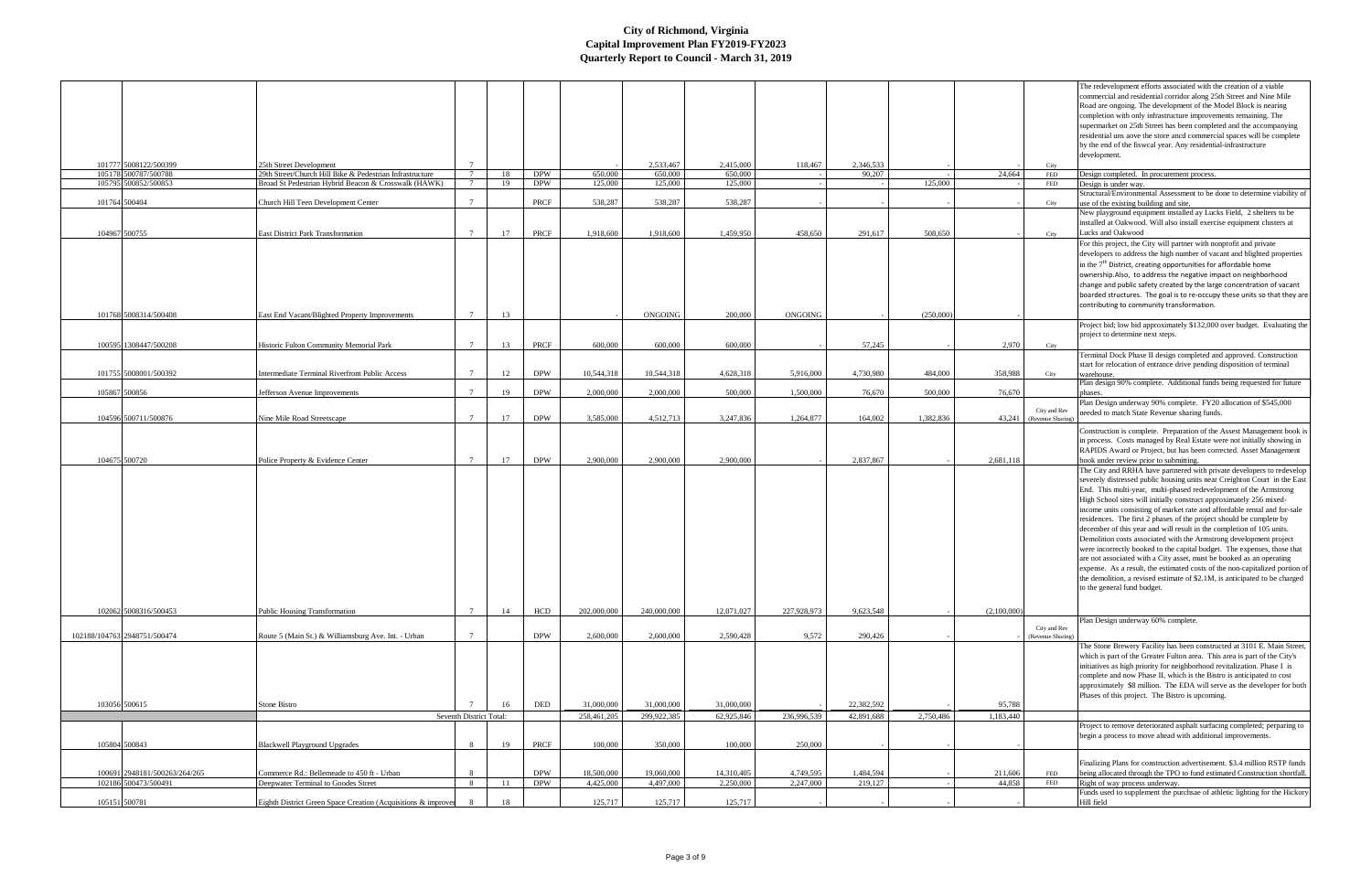|                               |                                                          |                         |     |            |             |                |            |                |            |           |             |                                          | The redevelopment efforts associated with the creation of a viable                                                                                        |
|-------------------------------|----------------------------------------------------------|-------------------------|-----|------------|-------------|----------------|------------|----------------|------------|-----------|-------------|------------------------------------------|-----------------------------------------------------------------------------------------------------------------------------------------------------------|
|                               |                                                          |                         |     |            |             |                |            |                |            |           |             |                                          | commercial and residential corridor along 25th Street and Nine Mile                                                                                       |
|                               |                                                          |                         |     |            |             |                |            |                |            |           |             |                                          | Road are ongoing. The development of the Model Block is nearing                                                                                           |
|                               |                                                          |                         |     |            |             |                |            |                |            |           |             |                                          | completion with only infrastructure improvements remaining. The                                                                                           |
|                               |                                                          |                         |     |            |             |                |            |                |            |           |             |                                          | supermarket on 25th Street has been completed and the accompanying                                                                                        |
|                               |                                                          |                         |     |            |             |                |            |                |            |           |             |                                          | residential uns aove the store ancd commercial spaces will be complete<br>by the end of the fiswcal year. Any residential-infrastructure                  |
|                               |                                                          |                         |     |            |             |                |            |                |            |           |             |                                          | development.                                                                                                                                              |
| 101777 5008122/500399         | 25th Street Development                                  |                         |     |            |             | 2.533,467      | 2,415,000  | 118,467        | 2,346,533  |           |             | City                                     |                                                                                                                                                           |
| 105178 500787/500788          | 29th Street/Church Hill Bike & Pedestrian Infrastructure |                         | 18  | <b>DPW</b> | 650,000     | 650,000        | 650,000    |                | 90,207     |           | 24,664      | FED                                      | Design completed. In procurement process.                                                                                                                 |
| 500852/500853<br>105795       | Broad St Pedestrian Hybrid Beacon & Crosswalk (HAWK)     |                         | 19  | <b>DPW</b> | 125,000     | 125,000        | 125,000    |                |            | 125,000   |             | FED                                      | Design is under way.                                                                                                                                      |
| 101764 500404                 | Church Hill Teen Development Center                      | $7\phantom{.0}$         |     | PRCF       | 538,287     | 538,287        | 538,287    |                |            |           |             | City                                     | Structural/Environmental Assessment to be done to determine viability of<br>use of the existing building and site,                                        |
|                               |                                                          |                         |     |            |             |                |            |                |            |           |             |                                          | New playground equipment installed ay Lucks Field, 2 shelters to be                                                                                       |
|                               |                                                          |                         |     |            |             |                |            |                |            |           |             |                                          | installed at Oakwood. Will also install exercise equipment clusters at                                                                                    |
| 104967 500755                 | <b>East District Park Transformation</b>                 | $7^{\circ}$             | 17  | PRCF       | 1,918,600   | 1,918,600      | 1,459,950  | 458,650        | 291,617    | 508,650   |             | City                                     | Lucks and Oakwood                                                                                                                                         |
|                               |                                                          |                         |     |            |             |                |            |                |            |           |             |                                          | For this project, the City will partner with nonprofit and private                                                                                        |
|                               |                                                          |                         |     |            |             |                |            |                |            |           |             |                                          | developers to address the high number of vacant and blighted properties                                                                                   |
|                               |                                                          |                         |     |            |             |                |            |                |            |           |             |                                          | in the $7th$ District, creating opportunities for affordable home                                                                                         |
|                               |                                                          |                         |     |            |             |                |            |                |            |           |             |                                          | ownership.Also, to address the negative impact on neighborhood<br>change and public safety created by the large concentration of vacant                   |
|                               |                                                          |                         |     |            |             |                |            |                |            |           |             |                                          | boarded structures. The goal is to re-occupy these units so that they are                                                                                 |
|                               |                                                          |                         |     |            |             |                |            |                |            |           |             |                                          | contributing to community transformation.                                                                                                                 |
| 101768 5008314/500408         | East End Vacant/Blighted Property Improvements           | $7\overline{ }$         | 13  |            |             | <b>ONGOING</b> | 200,000    | <b>ONGOING</b> |            | (250,000) |             |                                          |                                                                                                                                                           |
|                               |                                                          |                         |     |            |             |                |            |                |            |           |             |                                          | Project bid; low bid approximately \$132,000 over budget. Evaluating the                                                                                  |
|                               |                                                          |                         |     |            |             |                |            |                |            |           |             |                                          | project to determine next steps.                                                                                                                          |
| 100595 1308447/500208         | Historic Fulton Community Memorial Park                  | $7\phantom{.0}$         | 13  | PRCF       | 600,000     | 600,000        | 600,000    |                | 57,245     |           | 2,970       | City                                     |                                                                                                                                                           |
|                               |                                                          |                         |     |            |             |                |            |                |            |           |             |                                          | Terminal Dock Phase II design completed and approved. Construction                                                                                        |
| 101755 5008001/500392         | Intermediate Terminal Riverfront Public Access           |                         | 12  | <b>DPW</b> | 10,544,318  | 10,544,318     | 4,628,318  | 5,916,000      | 4,730,980  | 484,000   | 358,988     | City                                     | start for relocation of entrance drive pending disposition of terminal<br>warehouse.                                                                      |
|                               |                                                          |                         |     |            |             |                |            |                |            |           |             |                                          | Plan design 90% complete. Additional funds being requested for future                                                                                     |
| 105867 500856                 | Jefferson Avenue Improvements                            |                         | 19  | <b>DPW</b> | 2,000,000   | 2,000,000      | 500,000    | 1,500,000      | 76,670     | 500,000   | 76,670      |                                          |                                                                                                                                                           |
|                               |                                                          |                         |     |            |             |                |            |                |            |           |             |                                          | Plan Design underway 90% complete. FY20 allocation of \$545,000                                                                                           |
| 104596 500711/500876          | Nine Mile Road Streetscape                               | $7^{\circ}$             | 17  | <b>DPW</b> | 3,585,000   | 4,512,713      | 3,247,836  | 1,264,877      | 164,002    | 1,382,836 |             | City and Rev<br>43,241 (Revenue Sharing) | needed to match State Revenue sharing funds.                                                                                                              |
|                               |                                                          |                         |     |            |             |                |            |                |            |           |             |                                          | Construction is complete. Preparation of the Assest Management book is                                                                                    |
|                               |                                                          |                         |     |            |             |                |            |                |            |           |             |                                          | in process. Costs managed by Real Estate were not initially showing in                                                                                    |
|                               |                                                          |                         |     |            |             |                |            |                |            |           |             |                                          | RAPIDS Award or Project, but has been corrected. Asset Management                                                                                         |
| 104675 500720                 | Police Property & Evidence Center                        |                         | 17  | <b>DPW</b> | 2,900,000   | 2,900,000      | 2,900,000  |                | 2,837,867  |           | 2,681,118   |                                          | book under review prior to submitting.                                                                                                                    |
|                               |                                                          |                         |     |            |             |                |            |                |            |           |             |                                          | The City and RRHA have partnered with private developers to redevelop                                                                                     |
|                               |                                                          |                         |     |            |             |                |            |                |            |           |             |                                          | severely distressed public housing units near Creighton Court in the East                                                                                 |
|                               |                                                          |                         |     |            |             |                |            |                |            |           |             |                                          | End. This multi-year, multi-phased redevelopment of the Armstrong<br>High School sites will initially construct approximately 256 mixed-                  |
|                               |                                                          |                         |     |            |             |                |            |                |            |           |             |                                          | income units consisting of market rate and affordable rental and for-sale                                                                                 |
|                               |                                                          |                         |     |            |             |                |            |                |            |           |             |                                          | residences. The first 2 phases of the project should be complete by                                                                                       |
|                               |                                                          |                         |     |            |             |                |            |                |            |           |             |                                          | december of this year and will result in the completion of 105 units.                                                                                     |
|                               |                                                          |                         |     |            |             |                |            |                |            |           |             |                                          | Demolition costs associated with the Armstrong development project                                                                                        |
|                               |                                                          |                         |     |            |             |                |            |                |            |           |             |                                          | were incorrectly booked to the capital budget. The expenses, those that                                                                                   |
|                               |                                                          |                         |     |            |             |                |            |                |            |           |             |                                          | are not associated with a City asset, must be booked as an operating                                                                                      |
|                               |                                                          |                         |     |            |             |                |            |                |            |           |             |                                          | expense. As a result, the estimated costs of the non-capitalized portion of<br>the demolition, a revised estimate of \$2.1M, is anticipated to be charged |
|                               |                                                          |                         |     |            |             |                |            |                |            |           |             |                                          | to the general fund budget.                                                                                                                               |
|                               |                                                          |                         |     |            |             |                |            |                |            |           |             |                                          |                                                                                                                                                           |
| 102062 5008316/500453         | <b>Public Housing Transformation</b>                     | $7\phantom{.0}$         | 14  | <b>HCD</b> | 202,000,000 | 240,000,000    | 12,071,027 | 227,928,973    | 9,623,548  |           | (2,100,000) |                                          |                                                                                                                                                           |
|                               |                                                          |                         |     |            |             |                |            |                |            |           |             |                                          | Plan Design underway 60% complete.                                                                                                                        |
| 102188/104763 2948751/500474  | Route 5 (Main St.) & Williamsburg Ave. Int. - Urban      |                         |     | <b>DPW</b> | 2,600,000   | 2,600,000      | 2,590,428  | 9,572          | 290,426    |           |             | City and Rev<br>(Revenue Sharin          |                                                                                                                                                           |
|                               |                                                          |                         |     |            |             |                |            |                |            |           |             |                                          | The Stone Brewery Facility has been constructed at 3101 E. Main Street,                                                                                   |
|                               |                                                          |                         |     |            |             |                |            |                |            |           |             |                                          | which is part of the Greater Fulton area. This area is part of the City's                                                                                 |
|                               |                                                          |                         |     |            |             |                |            |                |            |           |             |                                          | initiatives as high priority for neighborhood revitalization. Phase I is                                                                                  |
|                               |                                                          |                         |     |            |             |                |            |                |            |           |             |                                          | complete and now Phase II, which is the Bistro is anticipated to cost                                                                                     |
|                               |                                                          |                         |     |            |             |                |            |                |            |           |             |                                          | approximately \$8 million. The EDA will serve as the developer for both                                                                                   |
| 103056 500615                 |                                                          |                         |     |            |             |                |            |                |            |           |             |                                          |                                                                                                                                                           |
|                               |                                                          |                         |     |            |             |                |            |                |            |           |             |                                          | Phases of this project. The Bistro is upcoming.                                                                                                           |
|                               | Stone Bistro                                             |                         | 16  | DED        | 31,000,000  | 31,000,000     | 31,000,000 |                | 22,382,592 |           | 95,788      |                                          |                                                                                                                                                           |
|                               |                                                          | Seventh District Total: |     |            | 258,461,205 | 299,922,385    | 62,925,846 | 236,996,539    | 42,891,688 | 2,750,486 | 1,183,440   |                                          |                                                                                                                                                           |
|                               |                                                          |                         |     |            |             |                |            |                |            |           |             |                                          | Project to remove deteriorated asphalt surfacing completed; perparing to                                                                                  |
| 105804 500843                 | <b>Blackwell Playground Upgrades</b>                     | -8                      | 19  | PRCF       | 100,000     | 350,000        | 100,000    | 250,000        |            |           |             |                                          | begin a process to move ahead with additional improvements.                                                                                               |
|                               |                                                          |                         |     |            |             |                |            |                |            |           |             |                                          |                                                                                                                                                           |
|                               |                                                          |                         |     |            |             |                |            |                |            |           |             |                                          | Finalizing Plans for construction advertisement. \$3.4 million RSTP funds                                                                                 |
| 100691 2948181/500263/264/265 | Commerce Rd.: Bellemeade to 450 ft - Urban               | -8                      |     | <b>DPW</b> | 18,500,000  | 19,060,000     | 14,310,405 | 4,749,595      | 1,484,594  |           | 211,606     | FED                                      | being allocated through the TPO to fund estimated Construction shortfall.                                                                                 |
| 102186 500473/500491          | Deepwater Terminal to Goodes Street                      | 8                       | -11 | <b>DPW</b> | 4,425,000   | 4,497,000      | 2,250,000  | 2,247,000      | 219,127    |           | 44,858      | FED                                      | Right of way process underway.<br>Funds used to supplement the purchsae of athletic lighting for the Hickory<br>Hill field                                |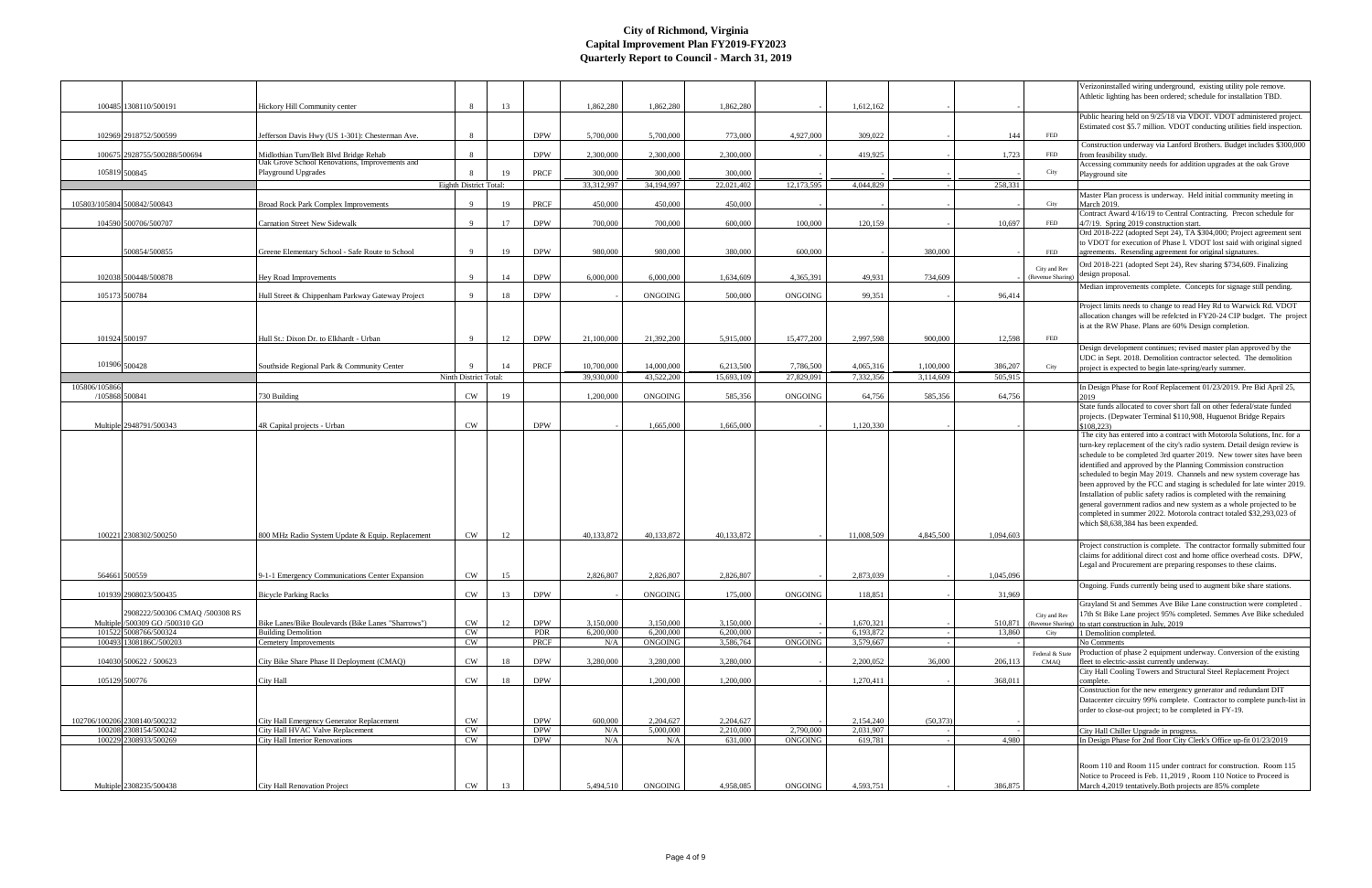| Athletic lighting has been ordered; schedule for installation TBD.<br>13<br>1,862,280<br>1,862,280<br>1,862,280<br>100485 1308110/500191<br>Hickory Hill Community center<br>-8<br>1,612,162<br>Public hearing held on 9/25/18 via VDOT. VDOT administered project.<br>Estimated cost \$5.7 million. VDOT conducting utilities field inspection.<br><b>DPW</b><br>102969 2918752/500599<br>8<br>5,700,000<br>5,700,000<br>773,000<br>4,927,000<br>309,022<br>144<br>Jefferson Davis Hwy (US 1-301): Chesterman Ave.<br>FED<br>Construction underway via Lanford Brothers. Budget includes \$300,000<br><b>DPW</b><br>2,300,000<br>2,300,000<br>1,723<br>100675 2928755/500288/500694<br>Midlothian Turn/Belt Blvd Bridge Rehab<br>2,300,000<br>419,925<br>-8<br>from feasibility study<br>FED<br>Oak Grove School Renovations, Improvements and<br>Accessing community needs for addition upgrades at the oak Grove<br>105819 500845<br>Playground Upgrades<br>City<br>PRCF<br>300,000<br>300,000<br>19<br>300,000<br>$\mathbf{R}$<br>Playground site<br>33,312,997<br>12,173,595<br>4,044,829<br>258,331<br>Eighth District Total:<br>34,194,997<br>22,021,402<br>Master Plan process is underway. Held initial community meeting in<br>105803/105804 500842/500843<br>PRCF<br>450,000<br>450,000<br>450,000<br><b>Broad Rock Park Complex Improvements</b><br>9<br>19<br><b>March 2019.</b><br>City<br>Contract Award 4/16/19 to Central Contracting. Precon schedule for<br>17<br><b>DPW</b><br>700,000<br>600,000<br>120,159<br>104590 500706/500707<br>-9<br>700,000<br>100,000<br>10,697<br>4/7/19. Spring 2019 construction start.<br><b>Carnation Street New Sidewalk</b><br>FED<br>Ord 2018-222 (adopted Sept 24), TA \$304,000; Project agreement sent<br>to VDOT for execution of Phase I. VDOT lost said with original signed<br>500854/500855<br><b>DPW</b><br>980,000<br>380,000<br>600,000<br>380,000<br>Greene Elementary School - Safe Route to School<br>$\mathbf{q}$<br>19<br>980,000<br>FED<br>agreements. Resending agreement for original signatures.<br>Ord 2018-221 (adopted Sept 24), Rev sharing \$734,609. Finalizing<br>City and Rev<br>design proposal.<br><b>DPW</b><br>102038 500448/500878<br>-9<br>14<br>6,000,000<br>6,000,000<br>1.634.609<br>4.365.391<br>49.931<br>734.609<br>Hey Road Improvements<br>(Revenue Sharing)<br>Median improvements complete. Concepts for signage still pending.<br>105173 500784<br><b>DPW</b><br>500,000<br>99,351<br>Hull Street & Chippenham Parkway Gateway Project<br>-9<br>18<br><b>ONGOING</b><br><b>ONGOING</b><br>96,414<br>Project limits needs to change to read Hey Rd to Warwick Rd. VDOT<br>is at the RW Phase. Plans are 60% Design completion.<br><b>DPW</b><br>101924 500197<br>Hull St.: Dixon Dr. to Elkhardt - Urban<br>$\overline{9}$<br>12<br>21,100,000<br>21,392,200<br>5,915,000<br>15,477,200<br>2,997,598<br>900,000<br>12,598<br>FED<br>Design development continues; revised master plan approved by the<br>UDC in Sept. 2018. Demolition contractor selected. The demolition<br>101906 500428<br><b>PRCF</b><br>14,000,000<br>6,213,500<br>4,065,316<br>Southside Regional Park & Community Center<br>10,700,000<br>7,786,500<br>1,100,000<br>386,207<br>-14<br>City<br>project is expected to begin late-spring/early summer.<br>7,332,356<br>Ninth District Total:<br>39,930,000<br>43,522,200<br>15,693,109<br>27,829,091<br>3,114,609<br>505,915<br>105806/105866<br>In Design Phase for Roof Replacement 01/23/2019. Pre Bid April 25,<br>$\mathrm{CW}$<br>/105868 500841<br>585.356<br><b>ONGOING</b><br>64,756<br>585,356<br>64,756<br>730 Building<br>19<br>1,200,000<br><b>ONGOING</b><br>2019<br>State funds allocated to cover short fall on other federal/state funded<br>projects. (Depwater Terminal \$110,908, Huguenot Bridge Repairs<br><b>CW</b><br><b>DPW</b><br>Multiple 2948791/500343<br>4R Capital projects - Urban<br>1.665.000<br>1,665,000<br>1,120,330<br>\$108.223<br>The city has entered into a contract with Motorola Solutions, Inc. for a<br>turn-key replacement of the city's radio system. Detail design review is<br>schedule to be completed 3rd quarter 2019. New tower sites have been<br>identified and approved by the Planning Commission construction<br>scheduled to begin May 2019. Channels and new system coverage has<br>been approved by the FCC and staging is scheduled for late winter 2019.<br>Installation of public safety radios is completed with the remaining<br>general government radios and new system as a whole projected to be<br>completed in summer 2022. Motorola contract totaled \$32,293,023 of<br>which \$8,638,384 has been expended.<br>100221 2308302/500250<br><b>CW</b><br>12<br>40,133,872<br>40,133,872<br>40,133,872<br>11,008,509<br>4,845,500<br>1,094,603<br>800 MHz Radio System Update & Equip. Replacement<br>Project construction is complete. The contractor formally submitted four<br>claims for additional direct cost and home office overhead costs. DPW,<br>Legal and Procurement are preparing responses to these claims.<br>564661 500559<br>CW<br>15<br>2,826,807<br>2,826,807<br>2,873,039<br>1,045,096<br>9-1-1 Emergency Communications Center Expansion<br>2,826,807<br>Ongoing. Funds currently being used to augment bike share stations.<br><b>DPW</b><br>31,969<br>101939 2908023/500435<br><b>CW</b><br>13<br><b>ONGOING</b><br>175,000<br>ONGOING<br>118,851<br><b>Bicycle Parking Racks</b><br>Grayland St and Semmes Ave Bike Lane construction were completed.<br>2908222/500306 CMAQ /500308 RS<br>17th St Bike Lane project 95% completed. Semmes Ave Bike scheduled<br>City and Rev<br>Multiple /500309 GO /500310 GO<br><b>DPW</b><br>Bike Lanes/Bike Boulevards (Bike Lanes "Sharrows")<br><b>CW</b><br>12<br>3.150,000<br>3.150,000<br>3.150,000<br>1,670,321<br>510,871<br>to start construction in July, 2019<br>(Revenue Sharing<br>101522 5008766/500324<br>CW<br>6,200,000<br>6,200,000<br><b>Building Demolition</b><br><b>PDR</b><br>6,200,000<br>6,193,872<br>13,860<br>1 Demolition completed.<br>City<br>100493 1308186C/500203<br>CW<br>PRCF<br>ONGOING<br>3,586,764<br>ONGOING<br>Cemetery Improvements<br>N/A<br>3,579,667<br>No Comments<br>Production of phase 2 equipment underway. Conversion of the existing<br>Federal & Stat<br>CW<br><b>DPW</b><br>104030 500622 / 500623<br>City Bike Share Phase II Deployment (CMAQ)<br>3,280,000<br>3,280,000<br>3,280,000<br>2,200,052<br>36,000<br>206,113<br>18<br>CMAQ<br>fleet to electric-assist currently underway.<br>City Hall Cooling Towers and Structural Steel Replacement Project<br>CW<br><b>DPW</b><br>105129 500776<br><b>City Hall</b><br>18<br>1,200,000<br>1,200,000<br>1,270,411<br>368,011<br>complete.<br>Construction for the new emergency generator and redundant DIT<br>order to close-out project; to be completed in FY-19.<br>102706/100206 2308140/500232<br><b>CW</b><br><b>DPW</b><br>600,000<br>2.204.627<br>2,154,240<br>(50.373)<br>2.204.627<br>City Hall Emergency Generator Replacement<br>100208 2308154/500242<br>City Hall HVAC Valve Replacement<br><b>CW</b><br><b>DPW</b><br>N/A<br>5,000,000<br>2,210,000<br>2,790,000<br>2,031,907<br>City Hall Chiller Upgrade in progress.<br>In Design Phase for 2nd floor City Clerk's Office up-fit 01/23/2019<br>100229 2308933/500269<br><b>City Hall Interior Renovations</b><br><b>CW</b><br><b>DPW</b><br>N/A<br>N/A<br>631,000<br>ONGOING<br>619,781<br>4,980<br>Room 110 and Room 115 under contract for construction. Room 115<br>Notice to Proceed is Feb. 11,2019, Room 110 Notice to Proceed is<br>Multiple 2308235/500438<br><b>CW</b><br>13<br>ONGOING<br>4,958,085<br>ONGOING<br>4,593,751<br>386,875<br>March 4,2019 tentatively. Both projects are 85% complete<br>City Hall Renovation Project<br>5,494,510 |  |  |  |  |  |  | Verizoninstalled wiring underground, existing utility pole remove. |
|-------------------------------------------------------------------------------------------------------------------------------------------------------------------------------------------------------------------------------------------------------------------------------------------------------------------------------------------------------------------------------------------------------------------------------------------------------------------------------------------------------------------------------------------------------------------------------------------------------------------------------------------------------------------------------------------------------------------------------------------------------------------------------------------------------------------------------------------------------------------------------------------------------------------------------------------------------------------------------------------------------------------------------------------------------------------------------------------------------------------------------------------------------------------------------------------------------------------------------------------------------------------------------------------------------------------------------------------------------------------------------------------------------------------------------------------------------------------------------------------------------------------------------------------------------------------------------------------------------------------------------------------------------------------------------------------------------------------------------------------------------------------------------------------------------------------------------------------------------------------------------------------------------------------------------------------------------------------------------------------------------------------------------------------------------------------------------------------------------------------------------------------------------------------------------------------------------------------------------------------------------------------------------------------------------------------------------------------------------------------------------------------------------------------------------------------------------------------------------------------------------------------------------------------------------------------------------------------------------------------------------------------------------------------------------------------------------------------------------------------------------------------------------------------------------------------------------------------------------------------------------------------------------------------------------------------------------------------------------------------------------------------------------------------------------------------------------------------------------------------------------------------------------------------------------------------------------------------------------------------------------------------------------------------------------------------------------------------------------------------------------------------------------------------------------------------------------------------------------------------------------------------------------------------------------------------------------------------------------------------------------------------------------------------------------------------------------------------------------------------------------------------------------------------------------------------------------------------------------------------------------------------------------------------------------------------------------------------------------------------------------------------------------------------------------------------------------------------------------------------------------------------------------------------------------------------------------------------------------------------------------------------------------------------------------------------------------------------------------------------------------------------------------------------------------------------------------------------------------------------------------------------------------------------------------------------------------------------------------------------------------------------------------------------------------------------------------------------------------------------------------------------------------------------------------------------------------------------------------------------------------------------------------------------------------------------------------------------------------------------------------------------------------------------------------------------------------------------------------------------------------------------------------------------------------------------------------------------------------------------------------------------------------------------------------------------------------------------------------------------------------------------------------------------------------------------------------------------------------------------------------------------------------------------------------------------------------------------------------------------------------------------------------------------------------------------------------------------------------------------------------------------------------------------------------------------------------------------------------------------------------------------------------------------------------------------------------------------------------------------------------------------------------------------------------------------------------------------------------------------------------------------------------------------------------------------------------------------------------------------------------------------------------------------------------------------------------------------------------------------------------------------------------------------------------------------------------------------------------------------------------------------------------------------------------------------------------------------------------------------------------------------------------------------------------------------------------------------------------------------------------------------------------------------------------------------------------------------------------------------------------------------------------------------------------------------------------------------------------------------------------------------------------------------------------------------------------------------------------------------------------------------------------------------------------------------------------------------------------------------------------------------------------------------------------------------------------------------------------------------------------------------------------------------------------------------------------------------------------------------------------------------------------------------------------------------------------------------------------------------------------------------------------------------------------------------------------------------------------------------------------------------------------------------------------------------------------------------------------------------------------------------------|--|--|--|--|--|--|--------------------------------------------------------------------|
|                                                                                                                                                                                                                                                                                                                                                                                                                                                                                                                                                                                                                                                                                                                                                                                                                                                                                                                                                                                                                                                                                                                                                                                                                                                                                                                                                                                                                                                                                                                                                                                                                                                                                                                                                                                                                                                                                                                                                                                                                                                                                                                                                                                                                                                                                                                                                                                                                                                                                                                                                                                                                                                                                                                                                                                                                                                                                                                                                                                                                                                                                                                                                                                                                                                                                                                                                                                                                                                                                                                                                                                                                                                                                                                                                                                                                                                                                                                                                                                                                                                                                                                                                                                                                                                                                                                                                                                                                                                                                                                                                                                                                                                                                                                                                                                                                                                                                                                                                                                                                                                                                                                                                                                                                                                                                                                                                                                                                                                                                                                                                                                                                                                                                                                                                                                                                                                                                                                                                                                                                                                                                                                                                                                                                                                                                                                                                                                                                                                                                                                                                                                                                                                                                                                                                                                                                                                                                                                                                                                                                                                                                                                                                                                                                                                                                                                                                                                                                                                                                                                                                                                                                                                                                                                                                                                                                                                                                                 |  |  |  |  |  |  |                                                                    |
|                                                                                                                                                                                                                                                                                                                                                                                                                                                                                                                                                                                                                                                                                                                                                                                                                                                                                                                                                                                                                                                                                                                                                                                                                                                                                                                                                                                                                                                                                                                                                                                                                                                                                                                                                                                                                                                                                                                                                                                                                                                                                                                                                                                                                                                                                                                                                                                                                                                                                                                                                                                                                                                                                                                                                                                                                                                                                                                                                                                                                                                                                                                                                                                                                                                                                                                                                                                                                                                                                                                                                                                                                                                                                                                                                                                                                                                                                                                                                                                                                                                                                                                                                                                                                                                                                                                                                                                                                                                                                                                                                                                                                                                                                                                                                                                                                                                                                                                                                                                                                                                                                                                                                                                                                                                                                                                                                                                                                                                                                                                                                                                                                                                                                                                                                                                                                                                                                                                                                                                                                                                                                                                                                                                                                                                                                                                                                                                                                                                                                                                                                                                                                                                                                                                                                                                                                                                                                                                                                                                                                                                                                                                                                                                                                                                                                                                                                                                                                                                                                                                                                                                                                                                                                                                                                                                                                                                                                                 |  |  |  |  |  |  |                                                                    |
|                                                                                                                                                                                                                                                                                                                                                                                                                                                                                                                                                                                                                                                                                                                                                                                                                                                                                                                                                                                                                                                                                                                                                                                                                                                                                                                                                                                                                                                                                                                                                                                                                                                                                                                                                                                                                                                                                                                                                                                                                                                                                                                                                                                                                                                                                                                                                                                                                                                                                                                                                                                                                                                                                                                                                                                                                                                                                                                                                                                                                                                                                                                                                                                                                                                                                                                                                                                                                                                                                                                                                                                                                                                                                                                                                                                                                                                                                                                                                                                                                                                                                                                                                                                                                                                                                                                                                                                                                                                                                                                                                                                                                                                                                                                                                                                                                                                                                                                                                                                                                                                                                                                                                                                                                                                                                                                                                                                                                                                                                                                                                                                                                                                                                                                                                                                                                                                                                                                                                                                                                                                                                                                                                                                                                                                                                                                                                                                                                                                                                                                                                                                                                                                                                                                                                                                                                                                                                                                                                                                                                                                                                                                                                                                                                                                                                                                                                                                                                                                                                                                                                                                                                                                                                                                                                                                                                                                                                                 |  |  |  |  |  |  |                                                                    |
|                                                                                                                                                                                                                                                                                                                                                                                                                                                                                                                                                                                                                                                                                                                                                                                                                                                                                                                                                                                                                                                                                                                                                                                                                                                                                                                                                                                                                                                                                                                                                                                                                                                                                                                                                                                                                                                                                                                                                                                                                                                                                                                                                                                                                                                                                                                                                                                                                                                                                                                                                                                                                                                                                                                                                                                                                                                                                                                                                                                                                                                                                                                                                                                                                                                                                                                                                                                                                                                                                                                                                                                                                                                                                                                                                                                                                                                                                                                                                                                                                                                                                                                                                                                                                                                                                                                                                                                                                                                                                                                                                                                                                                                                                                                                                                                                                                                                                                                                                                                                                                                                                                                                                                                                                                                                                                                                                                                                                                                                                                                                                                                                                                                                                                                                                                                                                                                                                                                                                                                                                                                                                                                                                                                                                                                                                                                                                                                                                                                                                                                                                                                                                                                                                                                                                                                                                                                                                                                                                                                                                                                                                                                                                                                                                                                                                                                                                                                                                                                                                                                                                                                                                                                                                                                                                                                                                                                                                                 |  |  |  |  |  |  |                                                                    |
|                                                                                                                                                                                                                                                                                                                                                                                                                                                                                                                                                                                                                                                                                                                                                                                                                                                                                                                                                                                                                                                                                                                                                                                                                                                                                                                                                                                                                                                                                                                                                                                                                                                                                                                                                                                                                                                                                                                                                                                                                                                                                                                                                                                                                                                                                                                                                                                                                                                                                                                                                                                                                                                                                                                                                                                                                                                                                                                                                                                                                                                                                                                                                                                                                                                                                                                                                                                                                                                                                                                                                                                                                                                                                                                                                                                                                                                                                                                                                                                                                                                                                                                                                                                                                                                                                                                                                                                                                                                                                                                                                                                                                                                                                                                                                                                                                                                                                                                                                                                                                                                                                                                                                                                                                                                                                                                                                                                                                                                                                                                                                                                                                                                                                                                                                                                                                                                                                                                                                                                                                                                                                                                                                                                                                                                                                                                                                                                                                                                                                                                                                                                                                                                                                                                                                                                                                                                                                                                                                                                                                                                                                                                                                                                                                                                                                                                                                                                                                                                                                                                                                                                                                                                                                                                                                                                                                                                                                                 |  |  |  |  |  |  |                                                                    |
|                                                                                                                                                                                                                                                                                                                                                                                                                                                                                                                                                                                                                                                                                                                                                                                                                                                                                                                                                                                                                                                                                                                                                                                                                                                                                                                                                                                                                                                                                                                                                                                                                                                                                                                                                                                                                                                                                                                                                                                                                                                                                                                                                                                                                                                                                                                                                                                                                                                                                                                                                                                                                                                                                                                                                                                                                                                                                                                                                                                                                                                                                                                                                                                                                                                                                                                                                                                                                                                                                                                                                                                                                                                                                                                                                                                                                                                                                                                                                                                                                                                                                                                                                                                                                                                                                                                                                                                                                                                                                                                                                                                                                                                                                                                                                                                                                                                                                                                                                                                                                                                                                                                                                                                                                                                                                                                                                                                                                                                                                                                                                                                                                                                                                                                                                                                                                                                                                                                                                                                                                                                                                                                                                                                                                                                                                                                                                                                                                                                                                                                                                                                                                                                                                                                                                                                                                                                                                                                                                                                                                                                                                                                                                                                                                                                                                                                                                                                                                                                                                                                                                                                                                                                                                                                                                                                                                                                                                                 |  |  |  |  |  |  |                                                                    |
|                                                                                                                                                                                                                                                                                                                                                                                                                                                                                                                                                                                                                                                                                                                                                                                                                                                                                                                                                                                                                                                                                                                                                                                                                                                                                                                                                                                                                                                                                                                                                                                                                                                                                                                                                                                                                                                                                                                                                                                                                                                                                                                                                                                                                                                                                                                                                                                                                                                                                                                                                                                                                                                                                                                                                                                                                                                                                                                                                                                                                                                                                                                                                                                                                                                                                                                                                                                                                                                                                                                                                                                                                                                                                                                                                                                                                                                                                                                                                                                                                                                                                                                                                                                                                                                                                                                                                                                                                                                                                                                                                                                                                                                                                                                                                                                                                                                                                                                                                                                                                                                                                                                                                                                                                                                                                                                                                                                                                                                                                                                                                                                                                                                                                                                                                                                                                                                                                                                                                                                                                                                                                                                                                                                                                                                                                                                                                                                                                                                                                                                                                                                                                                                                                                                                                                                                                                                                                                                                                                                                                                                                                                                                                                                                                                                                                                                                                                                                                                                                                                                                                                                                                                                                                                                                                                                                                                                                                                 |  |  |  |  |  |  |                                                                    |
|                                                                                                                                                                                                                                                                                                                                                                                                                                                                                                                                                                                                                                                                                                                                                                                                                                                                                                                                                                                                                                                                                                                                                                                                                                                                                                                                                                                                                                                                                                                                                                                                                                                                                                                                                                                                                                                                                                                                                                                                                                                                                                                                                                                                                                                                                                                                                                                                                                                                                                                                                                                                                                                                                                                                                                                                                                                                                                                                                                                                                                                                                                                                                                                                                                                                                                                                                                                                                                                                                                                                                                                                                                                                                                                                                                                                                                                                                                                                                                                                                                                                                                                                                                                                                                                                                                                                                                                                                                                                                                                                                                                                                                                                                                                                                                                                                                                                                                                                                                                                                                                                                                                                                                                                                                                                                                                                                                                                                                                                                                                                                                                                                                                                                                                                                                                                                                                                                                                                                                                                                                                                                                                                                                                                                                                                                                                                                                                                                                                                                                                                                                                                                                                                                                                                                                                                                                                                                                                                                                                                                                                                                                                                                                                                                                                                                                                                                                                                                                                                                                                                                                                                                                                                                                                                                                                                                                                                                                 |  |  |  |  |  |  |                                                                    |
|                                                                                                                                                                                                                                                                                                                                                                                                                                                                                                                                                                                                                                                                                                                                                                                                                                                                                                                                                                                                                                                                                                                                                                                                                                                                                                                                                                                                                                                                                                                                                                                                                                                                                                                                                                                                                                                                                                                                                                                                                                                                                                                                                                                                                                                                                                                                                                                                                                                                                                                                                                                                                                                                                                                                                                                                                                                                                                                                                                                                                                                                                                                                                                                                                                                                                                                                                                                                                                                                                                                                                                                                                                                                                                                                                                                                                                                                                                                                                                                                                                                                                                                                                                                                                                                                                                                                                                                                                                                                                                                                                                                                                                                                                                                                                                                                                                                                                                                                                                                                                                                                                                                                                                                                                                                                                                                                                                                                                                                                                                                                                                                                                                                                                                                                                                                                                                                                                                                                                                                                                                                                                                                                                                                                                                                                                                                                                                                                                                                                                                                                                                                                                                                                                                                                                                                                                                                                                                                                                                                                                                                                                                                                                                                                                                                                                                                                                                                                                                                                                                                                                                                                                                                                                                                                                                                                                                                                                                 |  |  |  |  |  |  |                                                                    |
| allocation changes will be refelcted in FY20-24 CIP budget. The project                                                                                                                                                                                                                                                                                                                                                                                                                                                                                                                                                                                                                                                                                                                                                                                                                                                                                                                                                                                                                                                                                                                                                                                                                                                                                                                                                                                                                                                                                                                                                                                                                                                                                                                                                                                                                                                                                                                                                                                                                                                                                                                                                                                                                                                                                                                                                                                                                                                                                                                                                                                                                                                                                                                                                                                                                                                                                                                                                                                                                                                                                                                                                                                                                                                                                                                                                                                                                                                                                                                                                                                                                                                                                                                                                                                                                                                                                                                                                                                                                                                                                                                                                                                                                                                                                                                                                                                                                                                                                                                                                                                                                                                                                                                                                                                                                                                                                                                                                                                                                                                                                                                                                                                                                                                                                                                                                                                                                                                                                                                                                                                                                                                                                                                                                                                                                                                                                                                                                                                                                                                                                                                                                                                                                                                                                                                                                                                                                                                                                                                                                                                                                                                                                                                                                                                                                                                                                                                                                                                                                                                                                                                                                                                                                                                                                                                                                                                                                                                                                                                                                                                                                                                                                                                                                                                                                         |  |  |  |  |  |  |                                                                    |
|                                                                                                                                                                                                                                                                                                                                                                                                                                                                                                                                                                                                                                                                                                                                                                                                                                                                                                                                                                                                                                                                                                                                                                                                                                                                                                                                                                                                                                                                                                                                                                                                                                                                                                                                                                                                                                                                                                                                                                                                                                                                                                                                                                                                                                                                                                                                                                                                                                                                                                                                                                                                                                                                                                                                                                                                                                                                                                                                                                                                                                                                                                                                                                                                                                                                                                                                                                                                                                                                                                                                                                                                                                                                                                                                                                                                                                                                                                                                                                                                                                                                                                                                                                                                                                                                                                                                                                                                                                                                                                                                                                                                                                                                                                                                                                                                                                                                                                                                                                                                                                                                                                                                                                                                                                                                                                                                                                                                                                                                                                                                                                                                                                                                                                                                                                                                                                                                                                                                                                                                                                                                                                                                                                                                                                                                                                                                                                                                                                                                                                                                                                                                                                                                                                                                                                                                                                                                                                                                                                                                                                                                                                                                                                                                                                                                                                                                                                                                                                                                                                                                                                                                                                                                                                                                                                                                                                                                                                 |  |  |  |  |  |  |                                                                    |
|                                                                                                                                                                                                                                                                                                                                                                                                                                                                                                                                                                                                                                                                                                                                                                                                                                                                                                                                                                                                                                                                                                                                                                                                                                                                                                                                                                                                                                                                                                                                                                                                                                                                                                                                                                                                                                                                                                                                                                                                                                                                                                                                                                                                                                                                                                                                                                                                                                                                                                                                                                                                                                                                                                                                                                                                                                                                                                                                                                                                                                                                                                                                                                                                                                                                                                                                                                                                                                                                                                                                                                                                                                                                                                                                                                                                                                                                                                                                                                                                                                                                                                                                                                                                                                                                                                                                                                                                                                                                                                                                                                                                                                                                                                                                                                                                                                                                                                                                                                                                                                                                                                                                                                                                                                                                                                                                                                                                                                                                                                                                                                                                                                                                                                                                                                                                                                                                                                                                                                                                                                                                                                                                                                                                                                                                                                                                                                                                                                                                                                                                                                                                                                                                                                                                                                                                                                                                                                                                                                                                                                                                                                                                                                                                                                                                                                                                                                                                                                                                                                                                                                                                                                                                                                                                                                                                                                                                                                 |  |  |  |  |  |  |                                                                    |
|                                                                                                                                                                                                                                                                                                                                                                                                                                                                                                                                                                                                                                                                                                                                                                                                                                                                                                                                                                                                                                                                                                                                                                                                                                                                                                                                                                                                                                                                                                                                                                                                                                                                                                                                                                                                                                                                                                                                                                                                                                                                                                                                                                                                                                                                                                                                                                                                                                                                                                                                                                                                                                                                                                                                                                                                                                                                                                                                                                                                                                                                                                                                                                                                                                                                                                                                                                                                                                                                                                                                                                                                                                                                                                                                                                                                                                                                                                                                                                                                                                                                                                                                                                                                                                                                                                                                                                                                                                                                                                                                                                                                                                                                                                                                                                                                                                                                                                                                                                                                                                                                                                                                                                                                                                                                                                                                                                                                                                                                                                                                                                                                                                                                                                                                                                                                                                                                                                                                                                                                                                                                                                                                                                                                                                                                                                                                                                                                                                                                                                                                                                                                                                                                                                                                                                                                                                                                                                                                                                                                                                                                                                                                                                                                                                                                                                                                                                                                                                                                                                                                                                                                                                                                                                                                                                                                                                                                                                 |  |  |  |  |  |  |                                                                    |
|                                                                                                                                                                                                                                                                                                                                                                                                                                                                                                                                                                                                                                                                                                                                                                                                                                                                                                                                                                                                                                                                                                                                                                                                                                                                                                                                                                                                                                                                                                                                                                                                                                                                                                                                                                                                                                                                                                                                                                                                                                                                                                                                                                                                                                                                                                                                                                                                                                                                                                                                                                                                                                                                                                                                                                                                                                                                                                                                                                                                                                                                                                                                                                                                                                                                                                                                                                                                                                                                                                                                                                                                                                                                                                                                                                                                                                                                                                                                                                                                                                                                                                                                                                                                                                                                                                                                                                                                                                                                                                                                                                                                                                                                                                                                                                                                                                                                                                                                                                                                                                                                                                                                                                                                                                                                                                                                                                                                                                                                                                                                                                                                                                                                                                                                                                                                                                                                                                                                                                                                                                                                                                                                                                                                                                                                                                                                                                                                                                                                                                                                                                                                                                                                                                                                                                                                                                                                                                                                                                                                                                                                                                                                                                                                                                                                                                                                                                                                                                                                                                                                                                                                                                                                                                                                                                                                                                                                                                 |  |  |  |  |  |  |                                                                    |
|                                                                                                                                                                                                                                                                                                                                                                                                                                                                                                                                                                                                                                                                                                                                                                                                                                                                                                                                                                                                                                                                                                                                                                                                                                                                                                                                                                                                                                                                                                                                                                                                                                                                                                                                                                                                                                                                                                                                                                                                                                                                                                                                                                                                                                                                                                                                                                                                                                                                                                                                                                                                                                                                                                                                                                                                                                                                                                                                                                                                                                                                                                                                                                                                                                                                                                                                                                                                                                                                                                                                                                                                                                                                                                                                                                                                                                                                                                                                                                                                                                                                                                                                                                                                                                                                                                                                                                                                                                                                                                                                                                                                                                                                                                                                                                                                                                                                                                                                                                                                                                                                                                                                                                                                                                                                                                                                                                                                                                                                                                                                                                                                                                                                                                                                                                                                                                                                                                                                                                                                                                                                                                                                                                                                                                                                                                                                                                                                                                                                                                                                                                                                                                                                                                                                                                                                                                                                                                                                                                                                                                                                                                                                                                                                                                                                                                                                                                                                                                                                                                                                                                                                                                                                                                                                                                                                                                                                                                 |  |  |  |  |  |  |                                                                    |
|                                                                                                                                                                                                                                                                                                                                                                                                                                                                                                                                                                                                                                                                                                                                                                                                                                                                                                                                                                                                                                                                                                                                                                                                                                                                                                                                                                                                                                                                                                                                                                                                                                                                                                                                                                                                                                                                                                                                                                                                                                                                                                                                                                                                                                                                                                                                                                                                                                                                                                                                                                                                                                                                                                                                                                                                                                                                                                                                                                                                                                                                                                                                                                                                                                                                                                                                                                                                                                                                                                                                                                                                                                                                                                                                                                                                                                                                                                                                                                                                                                                                                                                                                                                                                                                                                                                                                                                                                                                                                                                                                                                                                                                                                                                                                                                                                                                                                                                                                                                                                                                                                                                                                                                                                                                                                                                                                                                                                                                                                                                                                                                                                                                                                                                                                                                                                                                                                                                                                                                                                                                                                                                                                                                                                                                                                                                                                                                                                                                                                                                                                                                                                                                                                                                                                                                                                                                                                                                                                                                                                                                                                                                                                                                                                                                                                                                                                                                                                                                                                                                                                                                                                                                                                                                                                                                                                                                                                                 |  |  |  |  |  |  |                                                                    |
|                                                                                                                                                                                                                                                                                                                                                                                                                                                                                                                                                                                                                                                                                                                                                                                                                                                                                                                                                                                                                                                                                                                                                                                                                                                                                                                                                                                                                                                                                                                                                                                                                                                                                                                                                                                                                                                                                                                                                                                                                                                                                                                                                                                                                                                                                                                                                                                                                                                                                                                                                                                                                                                                                                                                                                                                                                                                                                                                                                                                                                                                                                                                                                                                                                                                                                                                                                                                                                                                                                                                                                                                                                                                                                                                                                                                                                                                                                                                                                                                                                                                                                                                                                                                                                                                                                                                                                                                                                                                                                                                                                                                                                                                                                                                                                                                                                                                                                                                                                                                                                                                                                                                                                                                                                                                                                                                                                                                                                                                                                                                                                                                                                                                                                                                                                                                                                                                                                                                                                                                                                                                                                                                                                                                                                                                                                                                                                                                                                                                                                                                                                                                                                                                                                                                                                                                                                                                                                                                                                                                                                                                                                                                                                                                                                                                                                                                                                                                                                                                                                                                                                                                                                                                                                                                                                                                                                                                                                 |  |  |  |  |  |  |                                                                    |
|                                                                                                                                                                                                                                                                                                                                                                                                                                                                                                                                                                                                                                                                                                                                                                                                                                                                                                                                                                                                                                                                                                                                                                                                                                                                                                                                                                                                                                                                                                                                                                                                                                                                                                                                                                                                                                                                                                                                                                                                                                                                                                                                                                                                                                                                                                                                                                                                                                                                                                                                                                                                                                                                                                                                                                                                                                                                                                                                                                                                                                                                                                                                                                                                                                                                                                                                                                                                                                                                                                                                                                                                                                                                                                                                                                                                                                                                                                                                                                                                                                                                                                                                                                                                                                                                                                                                                                                                                                                                                                                                                                                                                                                                                                                                                                                                                                                                                                                                                                                                                                                                                                                                                                                                                                                                                                                                                                                                                                                                                                                                                                                                                                                                                                                                                                                                                                                                                                                                                                                                                                                                                                                                                                                                                                                                                                                                                                                                                                                                                                                                                                                                                                                                                                                                                                                                                                                                                                                                                                                                                                                                                                                                                                                                                                                                                                                                                                                                                                                                                                                                                                                                                                                                                                                                                                                                                                                                                                 |  |  |  |  |  |  |                                                                    |
|                                                                                                                                                                                                                                                                                                                                                                                                                                                                                                                                                                                                                                                                                                                                                                                                                                                                                                                                                                                                                                                                                                                                                                                                                                                                                                                                                                                                                                                                                                                                                                                                                                                                                                                                                                                                                                                                                                                                                                                                                                                                                                                                                                                                                                                                                                                                                                                                                                                                                                                                                                                                                                                                                                                                                                                                                                                                                                                                                                                                                                                                                                                                                                                                                                                                                                                                                                                                                                                                                                                                                                                                                                                                                                                                                                                                                                                                                                                                                                                                                                                                                                                                                                                                                                                                                                                                                                                                                                                                                                                                                                                                                                                                                                                                                                                                                                                                                                                                                                                                                                                                                                                                                                                                                                                                                                                                                                                                                                                                                                                                                                                                                                                                                                                                                                                                                                                                                                                                                                                                                                                                                                                                                                                                                                                                                                                                                                                                                                                                                                                                                                                                                                                                                                                                                                                                                                                                                                                                                                                                                                                                                                                                                                                                                                                                                                                                                                                                                                                                                                                                                                                                                                                                                                                                                                                                                                                                                                 |  |  |  |  |  |  |                                                                    |
|                                                                                                                                                                                                                                                                                                                                                                                                                                                                                                                                                                                                                                                                                                                                                                                                                                                                                                                                                                                                                                                                                                                                                                                                                                                                                                                                                                                                                                                                                                                                                                                                                                                                                                                                                                                                                                                                                                                                                                                                                                                                                                                                                                                                                                                                                                                                                                                                                                                                                                                                                                                                                                                                                                                                                                                                                                                                                                                                                                                                                                                                                                                                                                                                                                                                                                                                                                                                                                                                                                                                                                                                                                                                                                                                                                                                                                                                                                                                                                                                                                                                                                                                                                                                                                                                                                                                                                                                                                                                                                                                                                                                                                                                                                                                                                                                                                                                                                                                                                                                                                                                                                                                                                                                                                                                                                                                                                                                                                                                                                                                                                                                                                                                                                                                                                                                                                                                                                                                                                                                                                                                                                                                                                                                                                                                                                                                                                                                                                                                                                                                                                                                                                                                                                                                                                                                                                                                                                                                                                                                                                                                                                                                                                                                                                                                                                                                                                                                                                                                                                                                                                                                                                                                                                                                                                                                                                                                                                 |  |  |  |  |  |  |                                                                    |
|                                                                                                                                                                                                                                                                                                                                                                                                                                                                                                                                                                                                                                                                                                                                                                                                                                                                                                                                                                                                                                                                                                                                                                                                                                                                                                                                                                                                                                                                                                                                                                                                                                                                                                                                                                                                                                                                                                                                                                                                                                                                                                                                                                                                                                                                                                                                                                                                                                                                                                                                                                                                                                                                                                                                                                                                                                                                                                                                                                                                                                                                                                                                                                                                                                                                                                                                                                                                                                                                                                                                                                                                                                                                                                                                                                                                                                                                                                                                                                                                                                                                                                                                                                                                                                                                                                                                                                                                                                                                                                                                                                                                                                                                                                                                                                                                                                                                                                                                                                                                                                                                                                                                                                                                                                                                                                                                                                                                                                                                                                                                                                                                                                                                                                                                                                                                                                                                                                                                                                                                                                                                                                                                                                                                                                                                                                                                                                                                                                                                                                                                                                                                                                                                                                                                                                                                                                                                                                                                                                                                                                                                                                                                                                                                                                                                                                                                                                                                                                                                                                                                                                                                                                                                                                                                                                                                                                                                                                 |  |  |  |  |  |  |                                                                    |
|                                                                                                                                                                                                                                                                                                                                                                                                                                                                                                                                                                                                                                                                                                                                                                                                                                                                                                                                                                                                                                                                                                                                                                                                                                                                                                                                                                                                                                                                                                                                                                                                                                                                                                                                                                                                                                                                                                                                                                                                                                                                                                                                                                                                                                                                                                                                                                                                                                                                                                                                                                                                                                                                                                                                                                                                                                                                                                                                                                                                                                                                                                                                                                                                                                                                                                                                                                                                                                                                                                                                                                                                                                                                                                                                                                                                                                                                                                                                                                                                                                                                                                                                                                                                                                                                                                                                                                                                                                                                                                                                                                                                                                                                                                                                                                                                                                                                                                                                                                                                                                                                                                                                                                                                                                                                                                                                                                                                                                                                                                                                                                                                                                                                                                                                                                                                                                                                                                                                                                                                                                                                                                                                                                                                                                                                                                                                                                                                                                                                                                                                                                                                                                                                                                                                                                                                                                                                                                                                                                                                                                                                                                                                                                                                                                                                                                                                                                                                                                                                                                                                                                                                                                                                                                                                                                                                                                                                                                 |  |  |  |  |  |  |                                                                    |
|                                                                                                                                                                                                                                                                                                                                                                                                                                                                                                                                                                                                                                                                                                                                                                                                                                                                                                                                                                                                                                                                                                                                                                                                                                                                                                                                                                                                                                                                                                                                                                                                                                                                                                                                                                                                                                                                                                                                                                                                                                                                                                                                                                                                                                                                                                                                                                                                                                                                                                                                                                                                                                                                                                                                                                                                                                                                                                                                                                                                                                                                                                                                                                                                                                                                                                                                                                                                                                                                                                                                                                                                                                                                                                                                                                                                                                                                                                                                                                                                                                                                                                                                                                                                                                                                                                                                                                                                                                                                                                                                                                                                                                                                                                                                                                                                                                                                                                                                                                                                                                                                                                                                                                                                                                                                                                                                                                                                                                                                                                                                                                                                                                                                                                                                                                                                                                                                                                                                                                                                                                                                                                                                                                                                                                                                                                                                                                                                                                                                                                                                                                                                                                                                                                                                                                                                                                                                                                                                                                                                                                                                                                                                                                                                                                                                                                                                                                                                                                                                                                                                                                                                                                                                                                                                                                                                                                                                                                 |  |  |  |  |  |  |                                                                    |
|                                                                                                                                                                                                                                                                                                                                                                                                                                                                                                                                                                                                                                                                                                                                                                                                                                                                                                                                                                                                                                                                                                                                                                                                                                                                                                                                                                                                                                                                                                                                                                                                                                                                                                                                                                                                                                                                                                                                                                                                                                                                                                                                                                                                                                                                                                                                                                                                                                                                                                                                                                                                                                                                                                                                                                                                                                                                                                                                                                                                                                                                                                                                                                                                                                                                                                                                                                                                                                                                                                                                                                                                                                                                                                                                                                                                                                                                                                                                                                                                                                                                                                                                                                                                                                                                                                                                                                                                                                                                                                                                                                                                                                                                                                                                                                                                                                                                                                                                                                                                                                                                                                                                                                                                                                                                                                                                                                                                                                                                                                                                                                                                                                                                                                                                                                                                                                                                                                                                                                                                                                                                                                                                                                                                                                                                                                                                                                                                                                                                                                                                                                                                                                                                                                                                                                                                                                                                                                                                                                                                                                                                                                                                                                                                                                                                                                                                                                                                                                                                                                                                                                                                                                                                                                                                                                                                                                                                                                 |  |  |  |  |  |  |                                                                    |
|                                                                                                                                                                                                                                                                                                                                                                                                                                                                                                                                                                                                                                                                                                                                                                                                                                                                                                                                                                                                                                                                                                                                                                                                                                                                                                                                                                                                                                                                                                                                                                                                                                                                                                                                                                                                                                                                                                                                                                                                                                                                                                                                                                                                                                                                                                                                                                                                                                                                                                                                                                                                                                                                                                                                                                                                                                                                                                                                                                                                                                                                                                                                                                                                                                                                                                                                                                                                                                                                                                                                                                                                                                                                                                                                                                                                                                                                                                                                                                                                                                                                                                                                                                                                                                                                                                                                                                                                                                                                                                                                                                                                                                                                                                                                                                                                                                                                                                                                                                                                                                                                                                                                                                                                                                                                                                                                                                                                                                                                                                                                                                                                                                                                                                                                                                                                                                                                                                                                                                                                                                                                                                                                                                                                                                                                                                                                                                                                                                                                                                                                                                                                                                                                                                                                                                                                                                                                                                                                                                                                                                                                                                                                                                                                                                                                                                                                                                                                                                                                                                                                                                                                                                                                                                                                                                                                                                                                                                 |  |  |  |  |  |  |                                                                    |
|                                                                                                                                                                                                                                                                                                                                                                                                                                                                                                                                                                                                                                                                                                                                                                                                                                                                                                                                                                                                                                                                                                                                                                                                                                                                                                                                                                                                                                                                                                                                                                                                                                                                                                                                                                                                                                                                                                                                                                                                                                                                                                                                                                                                                                                                                                                                                                                                                                                                                                                                                                                                                                                                                                                                                                                                                                                                                                                                                                                                                                                                                                                                                                                                                                                                                                                                                                                                                                                                                                                                                                                                                                                                                                                                                                                                                                                                                                                                                                                                                                                                                                                                                                                                                                                                                                                                                                                                                                                                                                                                                                                                                                                                                                                                                                                                                                                                                                                                                                                                                                                                                                                                                                                                                                                                                                                                                                                                                                                                                                                                                                                                                                                                                                                                                                                                                                                                                                                                                                                                                                                                                                                                                                                                                                                                                                                                                                                                                                                                                                                                                                                                                                                                                                                                                                                                                                                                                                                                                                                                                                                                                                                                                                                                                                                                                                                                                                                                                                                                                                                                                                                                                                                                                                                                                                                                                                                                                                 |  |  |  |  |  |  |                                                                    |
|                                                                                                                                                                                                                                                                                                                                                                                                                                                                                                                                                                                                                                                                                                                                                                                                                                                                                                                                                                                                                                                                                                                                                                                                                                                                                                                                                                                                                                                                                                                                                                                                                                                                                                                                                                                                                                                                                                                                                                                                                                                                                                                                                                                                                                                                                                                                                                                                                                                                                                                                                                                                                                                                                                                                                                                                                                                                                                                                                                                                                                                                                                                                                                                                                                                                                                                                                                                                                                                                                                                                                                                                                                                                                                                                                                                                                                                                                                                                                                                                                                                                                                                                                                                                                                                                                                                                                                                                                                                                                                                                                                                                                                                                                                                                                                                                                                                                                                                                                                                                                                                                                                                                                                                                                                                                                                                                                                                                                                                                                                                                                                                                                                                                                                                                                                                                                                                                                                                                                                                                                                                                                                                                                                                                                                                                                                                                                                                                                                                                                                                                                                                                                                                                                                                                                                                                                                                                                                                                                                                                                                                                                                                                                                                                                                                                                                                                                                                                                                                                                                                                                                                                                                                                                                                                                                                                                                                                                                 |  |  |  |  |  |  |                                                                    |
|                                                                                                                                                                                                                                                                                                                                                                                                                                                                                                                                                                                                                                                                                                                                                                                                                                                                                                                                                                                                                                                                                                                                                                                                                                                                                                                                                                                                                                                                                                                                                                                                                                                                                                                                                                                                                                                                                                                                                                                                                                                                                                                                                                                                                                                                                                                                                                                                                                                                                                                                                                                                                                                                                                                                                                                                                                                                                                                                                                                                                                                                                                                                                                                                                                                                                                                                                                                                                                                                                                                                                                                                                                                                                                                                                                                                                                                                                                                                                                                                                                                                                                                                                                                                                                                                                                                                                                                                                                                                                                                                                                                                                                                                                                                                                                                                                                                                                                                                                                                                                                                                                                                                                                                                                                                                                                                                                                                                                                                                                                                                                                                                                                                                                                                                                                                                                                                                                                                                                                                                                                                                                                                                                                                                                                                                                                                                                                                                                                                                                                                                                                                                                                                                                                                                                                                                                                                                                                                                                                                                                                                                                                                                                                                                                                                                                                                                                                                                                                                                                                                                                                                                                                                                                                                                                                                                                                                                                                 |  |  |  |  |  |  |                                                                    |
|                                                                                                                                                                                                                                                                                                                                                                                                                                                                                                                                                                                                                                                                                                                                                                                                                                                                                                                                                                                                                                                                                                                                                                                                                                                                                                                                                                                                                                                                                                                                                                                                                                                                                                                                                                                                                                                                                                                                                                                                                                                                                                                                                                                                                                                                                                                                                                                                                                                                                                                                                                                                                                                                                                                                                                                                                                                                                                                                                                                                                                                                                                                                                                                                                                                                                                                                                                                                                                                                                                                                                                                                                                                                                                                                                                                                                                                                                                                                                                                                                                                                                                                                                                                                                                                                                                                                                                                                                                                                                                                                                                                                                                                                                                                                                                                                                                                                                                                                                                                                                                                                                                                                                                                                                                                                                                                                                                                                                                                                                                                                                                                                                                                                                                                                                                                                                                                                                                                                                                                                                                                                                                                                                                                                                                                                                                                                                                                                                                                                                                                                                                                                                                                                                                                                                                                                                                                                                                                                                                                                                                                                                                                                                                                                                                                                                                                                                                                                                                                                                                                                                                                                                                                                                                                                                                                                                                                                                                 |  |  |  |  |  |  |                                                                    |
|                                                                                                                                                                                                                                                                                                                                                                                                                                                                                                                                                                                                                                                                                                                                                                                                                                                                                                                                                                                                                                                                                                                                                                                                                                                                                                                                                                                                                                                                                                                                                                                                                                                                                                                                                                                                                                                                                                                                                                                                                                                                                                                                                                                                                                                                                                                                                                                                                                                                                                                                                                                                                                                                                                                                                                                                                                                                                                                                                                                                                                                                                                                                                                                                                                                                                                                                                                                                                                                                                                                                                                                                                                                                                                                                                                                                                                                                                                                                                                                                                                                                                                                                                                                                                                                                                                                                                                                                                                                                                                                                                                                                                                                                                                                                                                                                                                                                                                                                                                                                                                                                                                                                                                                                                                                                                                                                                                                                                                                                                                                                                                                                                                                                                                                                                                                                                                                                                                                                                                                                                                                                                                                                                                                                                                                                                                                                                                                                                                                                                                                                                                                                                                                                                                                                                                                                                                                                                                                                                                                                                                                                                                                                                                                                                                                                                                                                                                                                                                                                                                                                                                                                                                                                                                                                                                                                                                                                                                 |  |  |  |  |  |  |                                                                    |
|                                                                                                                                                                                                                                                                                                                                                                                                                                                                                                                                                                                                                                                                                                                                                                                                                                                                                                                                                                                                                                                                                                                                                                                                                                                                                                                                                                                                                                                                                                                                                                                                                                                                                                                                                                                                                                                                                                                                                                                                                                                                                                                                                                                                                                                                                                                                                                                                                                                                                                                                                                                                                                                                                                                                                                                                                                                                                                                                                                                                                                                                                                                                                                                                                                                                                                                                                                                                                                                                                                                                                                                                                                                                                                                                                                                                                                                                                                                                                                                                                                                                                                                                                                                                                                                                                                                                                                                                                                                                                                                                                                                                                                                                                                                                                                                                                                                                                                                                                                                                                                                                                                                                                                                                                                                                                                                                                                                                                                                                                                                                                                                                                                                                                                                                                                                                                                                                                                                                                                                                                                                                                                                                                                                                                                                                                                                                                                                                                                                                                                                                                                                                                                                                                                                                                                                                                                                                                                                                                                                                                                                                                                                                                                                                                                                                                                                                                                                                                                                                                                                                                                                                                                                                                                                                                                                                                                                                                                 |  |  |  |  |  |  |                                                                    |
|                                                                                                                                                                                                                                                                                                                                                                                                                                                                                                                                                                                                                                                                                                                                                                                                                                                                                                                                                                                                                                                                                                                                                                                                                                                                                                                                                                                                                                                                                                                                                                                                                                                                                                                                                                                                                                                                                                                                                                                                                                                                                                                                                                                                                                                                                                                                                                                                                                                                                                                                                                                                                                                                                                                                                                                                                                                                                                                                                                                                                                                                                                                                                                                                                                                                                                                                                                                                                                                                                                                                                                                                                                                                                                                                                                                                                                                                                                                                                                                                                                                                                                                                                                                                                                                                                                                                                                                                                                                                                                                                                                                                                                                                                                                                                                                                                                                                                                                                                                                                                                                                                                                                                                                                                                                                                                                                                                                                                                                                                                                                                                                                                                                                                                                                                                                                                                                                                                                                                                                                                                                                                                                                                                                                                                                                                                                                                                                                                                                                                                                                                                                                                                                                                                                                                                                                                                                                                                                                                                                                                                                                                                                                                                                                                                                                                                                                                                                                                                                                                                                                                                                                                                                                                                                                                                                                                                                                                                 |  |  |  |  |  |  |                                                                    |
|                                                                                                                                                                                                                                                                                                                                                                                                                                                                                                                                                                                                                                                                                                                                                                                                                                                                                                                                                                                                                                                                                                                                                                                                                                                                                                                                                                                                                                                                                                                                                                                                                                                                                                                                                                                                                                                                                                                                                                                                                                                                                                                                                                                                                                                                                                                                                                                                                                                                                                                                                                                                                                                                                                                                                                                                                                                                                                                                                                                                                                                                                                                                                                                                                                                                                                                                                                                                                                                                                                                                                                                                                                                                                                                                                                                                                                                                                                                                                                                                                                                                                                                                                                                                                                                                                                                                                                                                                                                                                                                                                                                                                                                                                                                                                                                                                                                                                                                                                                                                                                                                                                                                                                                                                                                                                                                                                                                                                                                                                                                                                                                                                                                                                                                                                                                                                                                                                                                                                                                                                                                                                                                                                                                                                                                                                                                                                                                                                                                                                                                                                                                                                                                                                                                                                                                                                                                                                                                                                                                                                                                                                                                                                                                                                                                                                                                                                                                                                                                                                                                                                                                                                                                                                                                                                                                                                                                                                                 |  |  |  |  |  |  |                                                                    |
|                                                                                                                                                                                                                                                                                                                                                                                                                                                                                                                                                                                                                                                                                                                                                                                                                                                                                                                                                                                                                                                                                                                                                                                                                                                                                                                                                                                                                                                                                                                                                                                                                                                                                                                                                                                                                                                                                                                                                                                                                                                                                                                                                                                                                                                                                                                                                                                                                                                                                                                                                                                                                                                                                                                                                                                                                                                                                                                                                                                                                                                                                                                                                                                                                                                                                                                                                                                                                                                                                                                                                                                                                                                                                                                                                                                                                                                                                                                                                                                                                                                                                                                                                                                                                                                                                                                                                                                                                                                                                                                                                                                                                                                                                                                                                                                                                                                                                                                                                                                                                                                                                                                                                                                                                                                                                                                                                                                                                                                                                                                                                                                                                                                                                                                                                                                                                                                                                                                                                                                                                                                                                                                                                                                                                                                                                                                                                                                                                                                                                                                                                                                                                                                                                                                                                                                                                                                                                                                                                                                                                                                                                                                                                                                                                                                                                                                                                                                                                                                                                                                                                                                                                                                                                                                                                                                                                                                                                                 |  |  |  |  |  |  |                                                                    |
|                                                                                                                                                                                                                                                                                                                                                                                                                                                                                                                                                                                                                                                                                                                                                                                                                                                                                                                                                                                                                                                                                                                                                                                                                                                                                                                                                                                                                                                                                                                                                                                                                                                                                                                                                                                                                                                                                                                                                                                                                                                                                                                                                                                                                                                                                                                                                                                                                                                                                                                                                                                                                                                                                                                                                                                                                                                                                                                                                                                                                                                                                                                                                                                                                                                                                                                                                                                                                                                                                                                                                                                                                                                                                                                                                                                                                                                                                                                                                                                                                                                                                                                                                                                                                                                                                                                                                                                                                                                                                                                                                                                                                                                                                                                                                                                                                                                                                                                                                                                                                                                                                                                                                                                                                                                                                                                                                                                                                                                                                                                                                                                                                                                                                                                                                                                                                                                                                                                                                                                                                                                                                                                                                                                                                                                                                                                                                                                                                                                                                                                                                                                                                                                                                                                                                                                                                                                                                                                                                                                                                                                                                                                                                                                                                                                                                                                                                                                                                                                                                                                                                                                                                                                                                                                                                                                                                                                                                                 |  |  |  |  |  |  |                                                                    |
|                                                                                                                                                                                                                                                                                                                                                                                                                                                                                                                                                                                                                                                                                                                                                                                                                                                                                                                                                                                                                                                                                                                                                                                                                                                                                                                                                                                                                                                                                                                                                                                                                                                                                                                                                                                                                                                                                                                                                                                                                                                                                                                                                                                                                                                                                                                                                                                                                                                                                                                                                                                                                                                                                                                                                                                                                                                                                                                                                                                                                                                                                                                                                                                                                                                                                                                                                                                                                                                                                                                                                                                                                                                                                                                                                                                                                                                                                                                                                                                                                                                                                                                                                                                                                                                                                                                                                                                                                                                                                                                                                                                                                                                                                                                                                                                                                                                                                                                                                                                                                                                                                                                                                                                                                                                                                                                                                                                                                                                                                                                                                                                                                                                                                                                                                                                                                                                                                                                                                                                                                                                                                                                                                                                                                                                                                                                                                                                                                                                                                                                                                                                                                                                                                                                                                                                                                                                                                                                                                                                                                                                                                                                                                                                                                                                                                                                                                                                                                                                                                                                                                                                                                                                                                                                                                                                                                                                                                                 |  |  |  |  |  |  |                                                                    |
|                                                                                                                                                                                                                                                                                                                                                                                                                                                                                                                                                                                                                                                                                                                                                                                                                                                                                                                                                                                                                                                                                                                                                                                                                                                                                                                                                                                                                                                                                                                                                                                                                                                                                                                                                                                                                                                                                                                                                                                                                                                                                                                                                                                                                                                                                                                                                                                                                                                                                                                                                                                                                                                                                                                                                                                                                                                                                                                                                                                                                                                                                                                                                                                                                                                                                                                                                                                                                                                                                                                                                                                                                                                                                                                                                                                                                                                                                                                                                                                                                                                                                                                                                                                                                                                                                                                                                                                                                                                                                                                                                                                                                                                                                                                                                                                                                                                                                                                                                                                                                                                                                                                                                                                                                                                                                                                                                                                                                                                                                                                                                                                                                                                                                                                                                                                                                                                                                                                                                                                                                                                                                                                                                                                                                                                                                                                                                                                                                                                                                                                                                                                                                                                                                                                                                                                                                                                                                                                                                                                                                                                                                                                                                                                                                                                                                                                                                                                                                                                                                                                                                                                                                                                                                                                                                                                                                                                                                                 |  |  |  |  |  |  |                                                                    |
|                                                                                                                                                                                                                                                                                                                                                                                                                                                                                                                                                                                                                                                                                                                                                                                                                                                                                                                                                                                                                                                                                                                                                                                                                                                                                                                                                                                                                                                                                                                                                                                                                                                                                                                                                                                                                                                                                                                                                                                                                                                                                                                                                                                                                                                                                                                                                                                                                                                                                                                                                                                                                                                                                                                                                                                                                                                                                                                                                                                                                                                                                                                                                                                                                                                                                                                                                                                                                                                                                                                                                                                                                                                                                                                                                                                                                                                                                                                                                                                                                                                                                                                                                                                                                                                                                                                                                                                                                                                                                                                                                                                                                                                                                                                                                                                                                                                                                                                                                                                                                                                                                                                                                                                                                                                                                                                                                                                                                                                                                                                                                                                                                                                                                                                                                                                                                                                                                                                                                                                                                                                                                                                                                                                                                                                                                                                                                                                                                                                                                                                                                                                                                                                                                                                                                                                                                                                                                                                                                                                                                                                                                                                                                                                                                                                                                                                                                                                                                                                                                                                                                                                                                                                                                                                                                                                                                                                                                                 |  |  |  |  |  |  |                                                                    |
| Datacenter circuitry 99% complete. Contractor to complete punch-list in                                                                                                                                                                                                                                                                                                                                                                                                                                                                                                                                                                                                                                                                                                                                                                                                                                                                                                                                                                                                                                                                                                                                                                                                                                                                                                                                                                                                                                                                                                                                                                                                                                                                                                                                                                                                                                                                                                                                                                                                                                                                                                                                                                                                                                                                                                                                                                                                                                                                                                                                                                                                                                                                                                                                                                                                                                                                                                                                                                                                                                                                                                                                                                                                                                                                                                                                                                                                                                                                                                                                                                                                                                                                                                                                                                                                                                                                                                                                                                                                                                                                                                                                                                                                                                                                                                                                                                                                                                                                                                                                                                                                                                                                                                                                                                                                                                                                                                                                                                                                                                                                                                                                                                                                                                                                                                                                                                                                                                                                                                                                                                                                                                                                                                                                                                                                                                                                                                                                                                                                                                                                                                                                                                                                                                                                                                                                                                                                                                                                                                                                                                                                                                                                                                                                                                                                                                                                                                                                                                                                                                                                                                                                                                                                                                                                                                                                                                                                                                                                                                                                                                                                                                                                                                                                                                                                                         |  |  |  |  |  |  |                                                                    |
|                                                                                                                                                                                                                                                                                                                                                                                                                                                                                                                                                                                                                                                                                                                                                                                                                                                                                                                                                                                                                                                                                                                                                                                                                                                                                                                                                                                                                                                                                                                                                                                                                                                                                                                                                                                                                                                                                                                                                                                                                                                                                                                                                                                                                                                                                                                                                                                                                                                                                                                                                                                                                                                                                                                                                                                                                                                                                                                                                                                                                                                                                                                                                                                                                                                                                                                                                                                                                                                                                                                                                                                                                                                                                                                                                                                                                                                                                                                                                                                                                                                                                                                                                                                                                                                                                                                                                                                                                                                                                                                                                                                                                                                                                                                                                                                                                                                                                                                                                                                                                                                                                                                                                                                                                                                                                                                                                                                                                                                                                                                                                                                                                                                                                                                                                                                                                                                                                                                                                                                                                                                                                                                                                                                                                                                                                                                                                                                                                                                                                                                                                                                                                                                                                                                                                                                                                                                                                                                                                                                                                                                                                                                                                                                                                                                                                                                                                                                                                                                                                                                                                                                                                                                                                                                                                                                                                                                                                                 |  |  |  |  |  |  |                                                                    |
|                                                                                                                                                                                                                                                                                                                                                                                                                                                                                                                                                                                                                                                                                                                                                                                                                                                                                                                                                                                                                                                                                                                                                                                                                                                                                                                                                                                                                                                                                                                                                                                                                                                                                                                                                                                                                                                                                                                                                                                                                                                                                                                                                                                                                                                                                                                                                                                                                                                                                                                                                                                                                                                                                                                                                                                                                                                                                                                                                                                                                                                                                                                                                                                                                                                                                                                                                                                                                                                                                                                                                                                                                                                                                                                                                                                                                                                                                                                                                                                                                                                                                                                                                                                                                                                                                                                                                                                                                                                                                                                                                                                                                                                                                                                                                                                                                                                                                                                                                                                                                                                                                                                                                                                                                                                                                                                                                                                                                                                                                                                                                                                                                                                                                                                                                                                                                                                                                                                                                                                                                                                                                                                                                                                                                                                                                                                                                                                                                                                                                                                                                                                                                                                                                                                                                                                                                                                                                                                                                                                                                                                                                                                                                                                                                                                                                                                                                                                                                                                                                                                                                                                                                                                                                                                                                                                                                                                                                                 |  |  |  |  |  |  |                                                                    |
|                                                                                                                                                                                                                                                                                                                                                                                                                                                                                                                                                                                                                                                                                                                                                                                                                                                                                                                                                                                                                                                                                                                                                                                                                                                                                                                                                                                                                                                                                                                                                                                                                                                                                                                                                                                                                                                                                                                                                                                                                                                                                                                                                                                                                                                                                                                                                                                                                                                                                                                                                                                                                                                                                                                                                                                                                                                                                                                                                                                                                                                                                                                                                                                                                                                                                                                                                                                                                                                                                                                                                                                                                                                                                                                                                                                                                                                                                                                                                                                                                                                                                                                                                                                                                                                                                                                                                                                                                                                                                                                                                                                                                                                                                                                                                                                                                                                                                                                                                                                                                                                                                                                                                                                                                                                                                                                                                                                                                                                                                                                                                                                                                                                                                                                                                                                                                                                                                                                                                                                                                                                                                                                                                                                                                                                                                                                                                                                                                                                                                                                                                                                                                                                                                                                                                                                                                                                                                                                                                                                                                                                                                                                                                                                                                                                                                                                                                                                                                                                                                                                                                                                                                                                                                                                                                                                                                                                                                                 |  |  |  |  |  |  |                                                                    |
|                                                                                                                                                                                                                                                                                                                                                                                                                                                                                                                                                                                                                                                                                                                                                                                                                                                                                                                                                                                                                                                                                                                                                                                                                                                                                                                                                                                                                                                                                                                                                                                                                                                                                                                                                                                                                                                                                                                                                                                                                                                                                                                                                                                                                                                                                                                                                                                                                                                                                                                                                                                                                                                                                                                                                                                                                                                                                                                                                                                                                                                                                                                                                                                                                                                                                                                                                                                                                                                                                                                                                                                                                                                                                                                                                                                                                                                                                                                                                                                                                                                                                                                                                                                                                                                                                                                                                                                                                                                                                                                                                                                                                                                                                                                                                                                                                                                                                                                                                                                                                                                                                                                                                                                                                                                                                                                                                                                                                                                                                                                                                                                                                                                                                                                                                                                                                                                                                                                                                                                                                                                                                                                                                                                                                                                                                                                                                                                                                                                                                                                                                                                                                                                                                                                                                                                                                                                                                                                                                                                                                                                                                                                                                                                                                                                                                                                                                                                                                                                                                                                                                                                                                                                                                                                                                                                                                                                                                                 |  |  |  |  |  |  |                                                                    |
|                                                                                                                                                                                                                                                                                                                                                                                                                                                                                                                                                                                                                                                                                                                                                                                                                                                                                                                                                                                                                                                                                                                                                                                                                                                                                                                                                                                                                                                                                                                                                                                                                                                                                                                                                                                                                                                                                                                                                                                                                                                                                                                                                                                                                                                                                                                                                                                                                                                                                                                                                                                                                                                                                                                                                                                                                                                                                                                                                                                                                                                                                                                                                                                                                                                                                                                                                                                                                                                                                                                                                                                                                                                                                                                                                                                                                                                                                                                                                                                                                                                                                                                                                                                                                                                                                                                                                                                                                                                                                                                                                                                                                                                                                                                                                                                                                                                                                                                                                                                                                                                                                                                                                                                                                                                                                                                                                                                                                                                                                                                                                                                                                                                                                                                                                                                                                                                                                                                                                                                                                                                                                                                                                                                                                                                                                                                                                                                                                                                                                                                                                                                                                                                                                                                                                                                                                                                                                                                                                                                                                                                                                                                                                                                                                                                                                                                                                                                                                                                                                                                                                                                                                                                                                                                                                                                                                                                                                                 |  |  |  |  |  |  |                                                                    |
|                                                                                                                                                                                                                                                                                                                                                                                                                                                                                                                                                                                                                                                                                                                                                                                                                                                                                                                                                                                                                                                                                                                                                                                                                                                                                                                                                                                                                                                                                                                                                                                                                                                                                                                                                                                                                                                                                                                                                                                                                                                                                                                                                                                                                                                                                                                                                                                                                                                                                                                                                                                                                                                                                                                                                                                                                                                                                                                                                                                                                                                                                                                                                                                                                                                                                                                                                                                                                                                                                                                                                                                                                                                                                                                                                                                                                                                                                                                                                                                                                                                                                                                                                                                                                                                                                                                                                                                                                                                                                                                                                                                                                                                                                                                                                                                                                                                                                                                                                                                                                                                                                                                                                                                                                                                                                                                                                                                                                                                                                                                                                                                                                                                                                                                                                                                                                                                                                                                                                                                                                                                                                                                                                                                                                                                                                                                                                                                                                                                                                                                                                                                                                                                                                                                                                                                                                                                                                                                                                                                                                                                                                                                                                                                                                                                                                                                                                                                                                                                                                                                                                                                                                                                                                                                                                                                                                                                                                                 |  |  |  |  |  |  |                                                                    |
|                                                                                                                                                                                                                                                                                                                                                                                                                                                                                                                                                                                                                                                                                                                                                                                                                                                                                                                                                                                                                                                                                                                                                                                                                                                                                                                                                                                                                                                                                                                                                                                                                                                                                                                                                                                                                                                                                                                                                                                                                                                                                                                                                                                                                                                                                                                                                                                                                                                                                                                                                                                                                                                                                                                                                                                                                                                                                                                                                                                                                                                                                                                                                                                                                                                                                                                                                                                                                                                                                                                                                                                                                                                                                                                                                                                                                                                                                                                                                                                                                                                                                                                                                                                                                                                                                                                                                                                                                                                                                                                                                                                                                                                                                                                                                                                                                                                                                                                                                                                                                                                                                                                                                                                                                                                                                                                                                                                                                                                                                                                                                                                                                                                                                                                                                                                                                                                                                                                                                                                                                                                                                                                                                                                                                                                                                                                                                                                                                                                                                                                                                                                                                                                                                                                                                                                                                                                                                                                                                                                                                                                                                                                                                                                                                                                                                                                                                                                                                                                                                                                                                                                                                                                                                                                                                                                                                                                                                                 |  |  |  |  |  |  |                                                                    |
|                                                                                                                                                                                                                                                                                                                                                                                                                                                                                                                                                                                                                                                                                                                                                                                                                                                                                                                                                                                                                                                                                                                                                                                                                                                                                                                                                                                                                                                                                                                                                                                                                                                                                                                                                                                                                                                                                                                                                                                                                                                                                                                                                                                                                                                                                                                                                                                                                                                                                                                                                                                                                                                                                                                                                                                                                                                                                                                                                                                                                                                                                                                                                                                                                                                                                                                                                                                                                                                                                                                                                                                                                                                                                                                                                                                                                                                                                                                                                                                                                                                                                                                                                                                                                                                                                                                                                                                                                                                                                                                                                                                                                                                                                                                                                                                                                                                                                                                                                                                                                                                                                                                                                                                                                                                                                                                                                                                                                                                                                                                                                                                                                                                                                                                                                                                                                                                                                                                                                                                                                                                                                                                                                                                                                                                                                                                                                                                                                                                                                                                                                                                                                                                                                                                                                                                                                                                                                                                                                                                                                                                                                                                                                                                                                                                                                                                                                                                                                                                                                                                                                                                                                                                                                                                                                                                                                                                                                                 |  |  |  |  |  |  |                                                                    |
|                                                                                                                                                                                                                                                                                                                                                                                                                                                                                                                                                                                                                                                                                                                                                                                                                                                                                                                                                                                                                                                                                                                                                                                                                                                                                                                                                                                                                                                                                                                                                                                                                                                                                                                                                                                                                                                                                                                                                                                                                                                                                                                                                                                                                                                                                                                                                                                                                                                                                                                                                                                                                                                                                                                                                                                                                                                                                                                                                                                                                                                                                                                                                                                                                                                                                                                                                                                                                                                                                                                                                                                                                                                                                                                                                                                                                                                                                                                                                                                                                                                                                                                                                                                                                                                                                                                                                                                                                                                                                                                                                                                                                                                                                                                                                                                                                                                                                                                                                                                                                                                                                                                                                                                                                                                                                                                                                                                                                                                                                                                                                                                                                                                                                                                                                                                                                                                                                                                                                                                                                                                                                                                                                                                                                                                                                                                                                                                                                                                                                                                                                                                                                                                                                                                                                                                                                                                                                                                                                                                                                                                                                                                                                                                                                                                                                                                                                                                                                                                                                                                                                                                                                                                                                                                                                                                                                                                                                                 |  |  |  |  |  |  |                                                                    |
|                                                                                                                                                                                                                                                                                                                                                                                                                                                                                                                                                                                                                                                                                                                                                                                                                                                                                                                                                                                                                                                                                                                                                                                                                                                                                                                                                                                                                                                                                                                                                                                                                                                                                                                                                                                                                                                                                                                                                                                                                                                                                                                                                                                                                                                                                                                                                                                                                                                                                                                                                                                                                                                                                                                                                                                                                                                                                                                                                                                                                                                                                                                                                                                                                                                                                                                                                                                                                                                                                                                                                                                                                                                                                                                                                                                                                                                                                                                                                                                                                                                                                                                                                                                                                                                                                                                                                                                                                                                                                                                                                                                                                                                                                                                                                                                                                                                                                                                                                                                                                                                                                                                                                                                                                                                                                                                                                                                                                                                                                                                                                                                                                                                                                                                                                                                                                                                                                                                                                                                                                                                                                                                                                                                                                                                                                                                                                                                                                                                                                                                                                                                                                                                                                                                                                                                                                                                                                                                                                                                                                                                                                                                                                                                                                                                                                                                                                                                                                                                                                                                                                                                                                                                                                                                                                                                                                                                                                                 |  |  |  |  |  |  |                                                                    |
|                                                                                                                                                                                                                                                                                                                                                                                                                                                                                                                                                                                                                                                                                                                                                                                                                                                                                                                                                                                                                                                                                                                                                                                                                                                                                                                                                                                                                                                                                                                                                                                                                                                                                                                                                                                                                                                                                                                                                                                                                                                                                                                                                                                                                                                                                                                                                                                                                                                                                                                                                                                                                                                                                                                                                                                                                                                                                                                                                                                                                                                                                                                                                                                                                                                                                                                                                                                                                                                                                                                                                                                                                                                                                                                                                                                                                                                                                                                                                                                                                                                                                                                                                                                                                                                                                                                                                                                                                                                                                                                                                                                                                                                                                                                                                                                                                                                                                                                                                                                                                                                                                                                                                                                                                                                                                                                                                                                                                                                                                                                                                                                                                                                                                                                                                                                                                                                                                                                                                                                                                                                                                                                                                                                                                                                                                                                                                                                                                                                                                                                                                                                                                                                                                                                                                                                                                                                                                                                                                                                                                                                                                                                                                                                                                                                                                                                                                                                                                                                                                                                                                                                                                                                                                                                                                                                                                                                                                                 |  |  |  |  |  |  |                                                                    |
|                                                                                                                                                                                                                                                                                                                                                                                                                                                                                                                                                                                                                                                                                                                                                                                                                                                                                                                                                                                                                                                                                                                                                                                                                                                                                                                                                                                                                                                                                                                                                                                                                                                                                                                                                                                                                                                                                                                                                                                                                                                                                                                                                                                                                                                                                                                                                                                                                                                                                                                                                                                                                                                                                                                                                                                                                                                                                                                                                                                                                                                                                                                                                                                                                                                                                                                                                                                                                                                                                                                                                                                                                                                                                                                                                                                                                                                                                                                                                                                                                                                                                                                                                                                                                                                                                                                                                                                                                                                                                                                                                                                                                                                                                                                                                                                                                                                                                                                                                                                                                                                                                                                                                                                                                                                                                                                                                                                                                                                                                                                                                                                                                                                                                                                                                                                                                                                                                                                                                                                                                                                                                                                                                                                                                                                                                                                                                                                                                                                                                                                                                                                                                                                                                                                                                                                                                                                                                                                                                                                                                                                                                                                                                                                                                                                                                                                                                                                                                                                                                                                                                                                                                                                                                                                                                                                                                                                                                                 |  |  |  |  |  |  |                                                                    |
|                                                                                                                                                                                                                                                                                                                                                                                                                                                                                                                                                                                                                                                                                                                                                                                                                                                                                                                                                                                                                                                                                                                                                                                                                                                                                                                                                                                                                                                                                                                                                                                                                                                                                                                                                                                                                                                                                                                                                                                                                                                                                                                                                                                                                                                                                                                                                                                                                                                                                                                                                                                                                                                                                                                                                                                                                                                                                                                                                                                                                                                                                                                                                                                                                                                                                                                                                                                                                                                                                                                                                                                                                                                                                                                                                                                                                                                                                                                                                                                                                                                                                                                                                                                                                                                                                                                                                                                                                                                                                                                                                                                                                                                                                                                                                                                                                                                                                                                                                                                                                                                                                                                                                                                                                                                                                                                                                                                                                                                                                                                                                                                                                                                                                                                                                                                                                                                                                                                                                                                                                                                                                                                                                                                                                                                                                                                                                                                                                                                                                                                                                                                                                                                                                                                                                                                                                                                                                                                                                                                                                                                                                                                                                                                                                                                                                                                                                                                                                                                                                                                                                                                                                                                                                                                                                                                                                                                                                                 |  |  |  |  |  |  |                                                                    |
|                                                                                                                                                                                                                                                                                                                                                                                                                                                                                                                                                                                                                                                                                                                                                                                                                                                                                                                                                                                                                                                                                                                                                                                                                                                                                                                                                                                                                                                                                                                                                                                                                                                                                                                                                                                                                                                                                                                                                                                                                                                                                                                                                                                                                                                                                                                                                                                                                                                                                                                                                                                                                                                                                                                                                                                                                                                                                                                                                                                                                                                                                                                                                                                                                                                                                                                                                                                                                                                                                                                                                                                                                                                                                                                                                                                                                                                                                                                                                                                                                                                                                                                                                                                                                                                                                                                                                                                                                                                                                                                                                                                                                                                                                                                                                                                                                                                                                                                                                                                                                                                                                                                                                                                                                                                                                                                                                                                                                                                                                                                                                                                                                                                                                                                                                                                                                                                                                                                                                                                                                                                                                                                                                                                                                                                                                                                                                                                                                                                                                                                                                                                                                                                                                                                                                                                                                                                                                                                                                                                                                                                                                                                                                                                                                                                                                                                                                                                                                                                                                                                                                                                                                                                                                                                                                                                                                                                                                                 |  |  |  |  |  |  |                                                                    |
|                                                                                                                                                                                                                                                                                                                                                                                                                                                                                                                                                                                                                                                                                                                                                                                                                                                                                                                                                                                                                                                                                                                                                                                                                                                                                                                                                                                                                                                                                                                                                                                                                                                                                                                                                                                                                                                                                                                                                                                                                                                                                                                                                                                                                                                                                                                                                                                                                                                                                                                                                                                                                                                                                                                                                                                                                                                                                                                                                                                                                                                                                                                                                                                                                                                                                                                                                                                                                                                                                                                                                                                                                                                                                                                                                                                                                                                                                                                                                                                                                                                                                                                                                                                                                                                                                                                                                                                                                                                                                                                                                                                                                                                                                                                                                                                                                                                                                                                                                                                                                                                                                                                                                                                                                                                                                                                                                                                                                                                                                                                                                                                                                                                                                                                                                                                                                                                                                                                                                                                                                                                                                                                                                                                                                                                                                                                                                                                                                                                                                                                                                                                                                                                                                                                                                                                                                                                                                                                                                                                                                                                                                                                                                                                                                                                                                                                                                                                                                                                                                                                                                                                                                                                                                                                                                                                                                                                                                                 |  |  |  |  |  |  |                                                                    |
|                                                                                                                                                                                                                                                                                                                                                                                                                                                                                                                                                                                                                                                                                                                                                                                                                                                                                                                                                                                                                                                                                                                                                                                                                                                                                                                                                                                                                                                                                                                                                                                                                                                                                                                                                                                                                                                                                                                                                                                                                                                                                                                                                                                                                                                                                                                                                                                                                                                                                                                                                                                                                                                                                                                                                                                                                                                                                                                                                                                                                                                                                                                                                                                                                                                                                                                                                                                                                                                                                                                                                                                                                                                                                                                                                                                                                                                                                                                                                                                                                                                                                                                                                                                                                                                                                                                                                                                                                                                                                                                                                                                                                                                                                                                                                                                                                                                                                                                                                                                                                                                                                                                                                                                                                                                                                                                                                                                                                                                                                                                                                                                                                                                                                                                                                                                                                                                                                                                                                                                                                                                                                                                                                                                                                                                                                                                                                                                                                                                                                                                                                                                                                                                                                                                                                                                                                                                                                                                                                                                                                                                                                                                                                                                                                                                                                                                                                                                                                                                                                                                                                                                                                                                                                                                                                                                                                                                                                                 |  |  |  |  |  |  |                                                                    |
|                                                                                                                                                                                                                                                                                                                                                                                                                                                                                                                                                                                                                                                                                                                                                                                                                                                                                                                                                                                                                                                                                                                                                                                                                                                                                                                                                                                                                                                                                                                                                                                                                                                                                                                                                                                                                                                                                                                                                                                                                                                                                                                                                                                                                                                                                                                                                                                                                                                                                                                                                                                                                                                                                                                                                                                                                                                                                                                                                                                                                                                                                                                                                                                                                                                                                                                                                                                                                                                                                                                                                                                                                                                                                                                                                                                                                                                                                                                                                                                                                                                                                                                                                                                                                                                                                                                                                                                                                                                                                                                                                                                                                                                                                                                                                                                                                                                                                                                                                                                                                                                                                                                                                                                                                                                                                                                                                                                                                                                                                                                                                                                                                                                                                                                                                                                                                                                                                                                                                                                                                                                                                                                                                                                                                                                                                                                                                                                                                                                                                                                                                                                                                                                                                                                                                                                                                                                                                                                                                                                                                                                                                                                                                                                                                                                                                                                                                                                                                                                                                                                                                                                                                                                                                                                                                                                                                                                                                                 |  |  |  |  |  |  |                                                                    |
|                                                                                                                                                                                                                                                                                                                                                                                                                                                                                                                                                                                                                                                                                                                                                                                                                                                                                                                                                                                                                                                                                                                                                                                                                                                                                                                                                                                                                                                                                                                                                                                                                                                                                                                                                                                                                                                                                                                                                                                                                                                                                                                                                                                                                                                                                                                                                                                                                                                                                                                                                                                                                                                                                                                                                                                                                                                                                                                                                                                                                                                                                                                                                                                                                                                                                                                                                                                                                                                                                                                                                                                                                                                                                                                                                                                                                                                                                                                                                                                                                                                                                                                                                                                                                                                                                                                                                                                                                                                                                                                                                                                                                                                                                                                                                                                                                                                                                                                                                                                                                                                                                                                                                                                                                                                                                                                                                                                                                                                                                                                                                                                                                                                                                                                                                                                                                                                                                                                                                                                                                                                                                                                                                                                                                                                                                                                                                                                                                                                                                                                                                                                                                                                                                                                                                                                                                                                                                                                                                                                                                                                                                                                                                                                                                                                                                                                                                                                                                                                                                                                                                                                                                                                                                                                                                                                                                                                                                                 |  |  |  |  |  |  |                                                                    |
|                                                                                                                                                                                                                                                                                                                                                                                                                                                                                                                                                                                                                                                                                                                                                                                                                                                                                                                                                                                                                                                                                                                                                                                                                                                                                                                                                                                                                                                                                                                                                                                                                                                                                                                                                                                                                                                                                                                                                                                                                                                                                                                                                                                                                                                                                                                                                                                                                                                                                                                                                                                                                                                                                                                                                                                                                                                                                                                                                                                                                                                                                                                                                                                                                                                                                                                                                                                                                                                                                                                                                                                                                                                                                                                                                                                                                                                                                                                                                                                                                                                                                                                                                                                                                                                                                                                                                                                                                                                                                                                                                                                                                                                                                                                                                                                                                                                                                                                                                                                                                                                                                                                                                                                                                                                                                                                                                                                                                                                                                                                                                                                                                                                                                                                                                                                                                                                                                                                                                                                                                                                                                                                                                                                                                                                                                                                                                                                                                                                                                                                                                                                                                                                                                                                                                                                                                                                                                                                                                                                                                                                                                                                                                                                                                                                                                                                                                                                                                                                                                                                                                                                                                                                                                                                                                                                                                                                                                                 |  |  |  |  |  |  |                                                                    |
|                                                                                                                                                                                                                                                                                                                                                                                                                                                                                                                                                                                                                                                                                                                                                                                                                                                                                                                                                                                                                                                                                                                                                                                                                                                                                                                                                                                                                                                                                                                                                                                                                                                                                                                                                                                                                                                                                                                                                                                                                                                                                                                                                                                                                                                                                                                                                                                                                                                                                                                                                                                                                                                                                                                                                                                                                                                                                                                                                                                                                                                                                                                                                                                                                                                                                                                                                                                                                                                                                                                                                                                                                                                                                                                                                                                                                                                                                                                                                                                                                                                                                                                                                                                                                                                                                                                                                                                                                                                                                                                                                                                                                                                                                                                                                                                                                                                                                                                                                                                                                                                                                                                                                                                                                                                                                                                                                                                                                                                                                                                                                                                                                                                                                                                                                                                                                                                                                                                                                                                                                                                                                                                                                                                                                                                                                                                                                                                                                                                                                                                                                                                                                                                                                                                                                                                                                                                                                                                                                                                                                                                                                                                                                                                                                                                                                                                                                                                                                                                                                                                                                                                                                                                                                                                                                                                                                                                                                                 |  |  |  |  |  |  |                                                                    |
|                                                                                                                                                                                                                                                                                                                                                                                                                                                                                                                                                                                                                                                                                                                                                                                                                                                                                                                                                                                                                                                                                                                                                                                                                                                                                                                                                                                                                                                                                                                                                                                                                                                                                                                                                                                                                                                                                                                                                                                                                                                                                                                                                                                                                                                                                                                                                                                                                                                                                                                                                                                                                                                                                                                                                                                                                                                                                                                                                                                                                                                                                                                                                                                                                                                                                                                                                                                                                                                                                                                                                                                                                                                                                                                                                                                                                                                                                                                                                                                                                                                                                                                                                                                                                                                                                                                                                                                                                                                                                                                                                                                                                                                                                                                                                                                                                                                                                                                                                                                                                                                                                                                                                                                                                                                                                                                                                                                                                                                                                                                                                                                                                                                                                                                                                                                                                                                                                                                                                                                                                                                                                                                                                                                                                                                                                                                                                                                                                                                                                                                                                                                                                                                                                                                                                                                                                                                                                                                                                                                                                                                                                                                                                                                                                                                                                                                                                                                                                                                                                                                                                                                                                                                                                                                                                                                                                                                                                                 |  |  |  |  |  |  |                                                                    |
|                                                                                                                                                                                                                                                                                                                                                                                                                                                                                                                                                                                                                                                                                                                                                                                                                                                                                                                                                                                                                                                                                                                                                                                                                                                                                                                                                                                                                                                                                                                                                                                                                                                                                                                                                                                                                                                                                                                                                                                                                                                                                                                                                                                                                                                                                                                                                                                                                                                                                                                                                                                                                                                                                                                                                                                                                                                                                                                                                                                                                                                                                                                                                                                                                                                                                                                                                                                                                                                                                                                                                                                                                                                                                                                                                                                                                                                                                                                                                                                                                                                                                                                                                                                                                                                                                                                                                                                                                                                                                                                                                                                                                                                                                                                                                                                                                                                                                                                                                                                                                                                                                                                                                                                                                                                                                                                                                                                                                                                                                                                                                                                                                                                                                                                                                                                                                                                                                                                                                                                                                                                                                                                                                                                                                                                                                                                                                                                                                                                                                                                                                                                                                                                                                                                                                                                                                                                                                                                                                                                                                                                                                                                                                                                                                                                                                                                                                                                                                                                                                                                                                                                                                                                                                                                                                                                                                                                                                                 |  |  |  |  |  |  |                                                                    |
|                                                                                                                                                                                                                                                                                                                                                                                                                                                                                                                                                                                                                                                                                                                                                                                                                                                                                                                                                                                                                                                                                                                                                                                                                                                                                                                                                                                                                                                                                                                                                                                                                                                                                                                                                                                                                                                                                                                                                                                                                                                                                                                                                                                                                                                                                                                                                                                                                                                                                                                                                                                                                                                                                                                                                                                                                                                                                                                                                                                                                                                                                                                                                                                                                                                                                                                                                                                                                                                                                                                                                                                                                                                                                                                                                                                                                                                                                                                                                                                                                                                                                                                                                                                                                                                                                                                                                                                                                                                                                                                                                                                                                                                                                                                                                                                                                                                                                                                                                                                                                                                                                                                                                                                                                                                                                                                                                                                                                                                                                                                                                                                                                                                                                                                                                                                                                                                                                                                                                                                                                                                                                                                                                                                                                                                                                                                                                                                                                                                                                                                                                                                                                                                                                                                                                                                                                                                                                                                                                                                                                                                                                                                                                                                                                                                                                                                                                                                                                                                                                                                                                                                                                                                                                                                                                                                                                                                                                                 |  |  |  |  |  |  |                                                                    |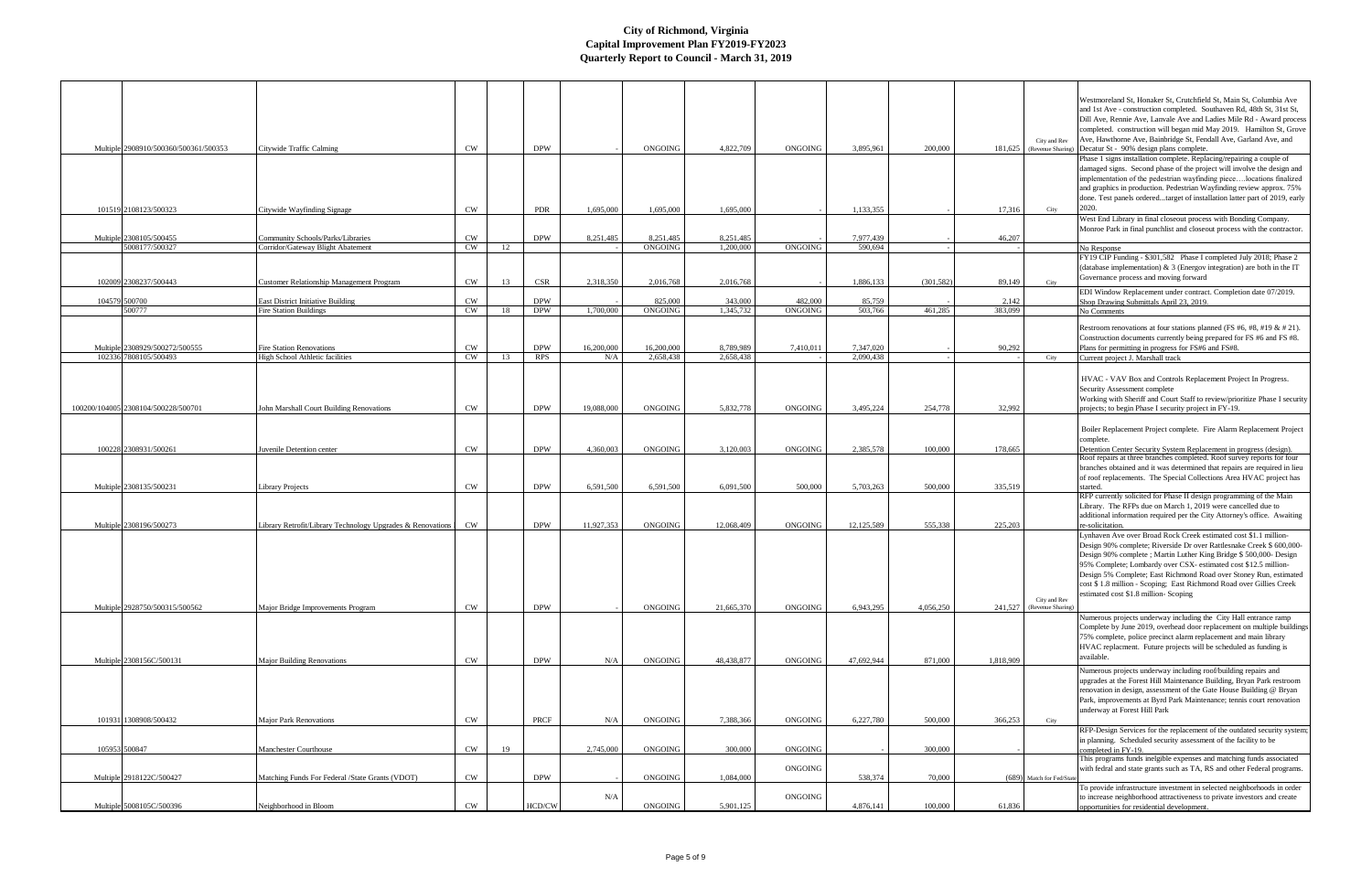|                                                         |                                                                           |                 |    |                          |                   |                           |                        |                           |                        |            |                  | City and Rev              | Westmoreland St, Honaker St, Crutchfield St, Main St, Columbia Ave<br>and 1st Ave - construction completed. Southaven Rd, 48th St, 31st St,<br>Dill Ave, Rennie Ave, Lanvale Ave and Ladies Mile Rd - Award process<br>completed. construction will began mid May 2019. Hamilton St, Grove<br>Ave, Hawthorne Ave, Bainbridge St, Fendall Ave, Garland Ave, and |
|---------------------------------------------------------|---------------------------------------------------------------------------|-----------------|----|--------------------------|-------------------|---------------------------|------------------------|---------------------------|------------------------|------------|------------------|---------------------------|----------------------------------------------------------------------------------------------------------------------------------------------------------------------------------------------------------------------------------------------------------------------------------------------------------------------------------------------------------------|
| Multiple 2908910/500360/500361/500353                   | Citywide Traffic Calming                                                  | <b>CW</b>       |    | <b>DPW</b>               |                   | <b>ONGOING</b>            | 4,822,709              | <b>ONGOING</b>            | 3,895,961              | 200,000    |                  | 181,625 (Revenue Sharing  | Decatur St - 90% design plans complete.                                                                                                                                                                                                                                                                                                                        |
|                                                         |                                                                           |                 |    |                          |                   |                           |                        |                           |                        |            |                  |                           | Phase 1 signs installation complete. Replacing/repairing a couple of<br>damaged signs. Second phase of the project will involve the design and                                                                                                                                                                                                                 |
|                                                         |                                                                           |                 |    |                          |                   |                           |                        |                           |                        |            |                  |                           | implementation of the pedestrian wayfinding piecelocations finalized                                                                                                                                                                                                                                                                                           |
|                                                         |                                                                           |                 |    |                          |                   |                           |                        |                           |                        |            |                  |                           | and graphics in production. Pedestrian Wayfinding review approx. 75%                                                                                                                                                                                                                                                                                           |
|                                                         |                                                                           |                 |    |                          |                   |                           |                        |                           |                        |            |                  |                           | done. Test panels orderedtarget of installation latter part of 2019, early                                                                                                                                                                                                                                                                                     |
| 101519 2108123/500323                                   | Citywide Wayfinding Signage                                               | <b>CW</b>       |    | <b>PDR</b>               | 1,695,000         | 1,695,000                 | 1,695,000              |                           | 1,133,355              |            | 17,316           | City                      | 2020.                                                                                                                                                                                                                                                                                                                                                          |
|                                                         |                                                                           |                 |    |                          |                   |                           |                        |                           |                        |            |                  |                           | West End Library in final closeout process with Bonding Company.                                                                                                                                                                                                                                                                                               |
| Multiple 2308105/500455                                 | Community Schools/Parks/Libraries                                         | CW              |    | <b>DPW</b>               | 8,251,485         | 8,251,485                 | 8,251,485              |                           | 7,977,439              |            | 46,207           |                           | Monroe Park in final punchlist and closeout process with the contractor.                                                                                                                                                                                                                                                                                       |
| 5008177/500327                                          | Corridor/Gateway Blight Abatement                                         | CW              | 12 |                          |                   | <b>ONGOING</b>            | 1,200,000              | <b>ONGOING</b>            | 590,694                |            |                  |                           | No Response                                                                                                                                                                                                                                                                                                                                                    |
|                                                         |                                                                           |                 |    |                          |                   |                           |                        |                           |                        |            |                  |                           | FY19 CIP Funding - \$301,582 Phase I completed July 2018; Phase 2                                                                                                                                                                                                                                                                                              |
|                                                         |                                                                           |                 |    |                          |                   |                           |                        |                           |                        |            |                  |                           | (database implementation) & 3 (Energov integration) are both in the IT                                                                                                                                                                                                                                                                                         |
| 102009 2308237/500443                                   | <b>Customer Relationship Management Program</b>                           | CW              | 13 | <b>CSR</b>               | 2,318,350         | 2,016,768                 | 2,016,768              |                           | 1,886,133              | (301, 582) | 89,149           | City                      | Governance process and moving forward                                                                                                                                                                                                                                                                                                                          |
|                                                         |                                                                           |                 |    |                          |                   |                           |                        |                           |                        |            |                  |                           | EDI Window Replacement under contract. Completion date 07/2019.                                                                                                                                                                                                                                                                                                |
| 104579 500700<br>500777                                 | <b>East District Initiative Building</b><br><b>Fire Station Buildings</b> | <b>CW</b><br>CW | 18 | <b>DPW</b><br><b>DPW</b> | 1,700,000         | 825,000<br><b>ONGOING</b> | 343,000<br>1,345,732   | 482,000<br><b>ONGOING</b> | 85,759<br>503,766      | 461.285    | 2,142<br>383,099 |                           | Shop Drawing Submittals April 23, 2019.                                                                                                                                                                                                                                                                                                                        |
|                                                         |                                                                           |                 |    |                          |                   |                           |                        |                           |                        |            |                  |                           | No Comments                                                                                                                                                                                                                                                                                                                                                    |
|                                                         |                                                                           |                 |    |                          |                   |                           |                        |                           |                        |            |                  |                           | Restroom renovations at four stations planned (FS #6, #8, #19 $\&$ # 21).                                                                                                                                                                                                                                                                                      |
|                                                         |                                                                           |                 |    |                          |                   |                           |                        |                           |                        |            |                  |                           | Construction documents currently being prepared for FS #6 and FS #8.                                                                                                                                                                                                                                                                                           |
| Multiple 2308929/500272/500555<br>102336 7808105/500493 | <b>Fire Station Renovations</b><br>High School Athletic facilities        | <b>CW</b><br>CW | 13 | <b>DPW</b><br><b>RPS</b> | 16,200,000<br>N/A | 16,200,000<br>2.658,438   | 8,789,989<br>2.658.438 | 7,410,011                 | 7,347,020<br>2.090.438 |            | 90,292           | City                      | Plans for permitting in progress for FS#6 and FS#8.<br>Current project J. Marshall track                                                                                                                                                                                                                                                                       |
|                                                         |                                                                           |                 |    |                          |                   |                           |                        |                           |                        |            |                  |                           |                                                                                                                                                                                                                                                                                                                                                                |
|                                                         |                                                                           |                 |    |                          |                   |                           |                        |                           |                        |            |                  |                           | HVAC - VAV Box and Controls Replacement Project In Progress.<br>Security Assessment complete                                                                                                                                                                                                                                                                   |
|                                                         |                                                                           |                 |    | <b>DPW</b>               | 19,088,000        | <b>ONGOING</b>            | 5,832,778              |                           | 3.495.224              |            |                  |                           | Working with Sheriff and Court Staff to review/prioritize Phase I security                                                                                                                                                                                                                                                                                     |
| 100200/104005 2308104/500228/500701                     | John Marshall Court Building Renovations                                  | <b>CW</b>       |    |                          |                   |                           |                        | <b>ONGOING</b>            |                        | 254,778    | 32,992           |                           | projects; to begin Phase I security project in FY-19.                                                                                                                                                                                                                                                                                                          |
|                                                         |                                                                           |                 |    |                          |                   |                           |                        |                           |                        |            |                  |                           | Boiler Replacement Project complete. Fire Alarm Replacement Project                                                                                                                                                                                                                                                                                            |
|                                                         |                                                                           |                 |    |                          |                   |                           |                        |                           |                        |            |                  |                           | complete.                                                                                                                                                                                                                                                                                                                                                      |
| 100228 2308931/500261                                   | Juvenile Detention center                                                 | $\mathrm{CW}$   |    | <b>DPW</b>               | 4.360,003         | <b>ONGOING</b>            | 3,120,003              | <b>ONGOING</b>            | 2,385,578              | 100,000    | 178,665          |                           | Detention Center Security System Replacement in progress (design).                                                                                                                                                                                                                                                                                             |
|                                                         |                                                                           |                 |    |                          |                   |                           |                        |                           |                        |            |                  |                           | Roof repairs at three branches completed. Roof survey reports for four                                                                                                                                                                                                                                                                                         |
|                                                         |                                                                           |                 |    |                          |                   |                           |                        |                           |                        |            |                  |                           | branches obtained and it was determined that repairs are required in lieu<br>of roof replacements. The Special Collections Area HVAC project has                                                                                                                                                                                                               |
| Multiple 2308135/500231                                 | <b>Library Projects</b>                                                   | CW              |    | <b>DPW</b>               | 6,591,500         | 6,591,500                 | 6,091,500              | 500,000                   | 5,703,263              | 500,000    | 335,519          |                           | started.                                                                                                                                                                                                                                                                                                                                                       |
|                                                         |                                                                           |                 |    |                          |                   |                           |                        |                           |                        |            |                  |                           | RFP currently solicited for Phase II design programming of the Main                                                                                                                                                                                                                                                                                            |
|                                                         |                                                                           |                 |    |                          |                   |                           |                        |                           |                        |            |                  |                           | Library. The RFPs due on March 1, 2019 were cancelled due to                                                                                                                                                                                                                                                                                                   |
|                                                         |                                                                           |                 |    |                          |                   |                           |                        |                           |                        |            |                  |                           | additional information required per the City Attorney's office. Awaiting                                                                                                                                                                                                                                                                                       |
| Multiple 2308196/500273                                 | Library Retrofit/Library Technology Upgrades & Renovations 1              | CW              |    | <b>DPW</b>               | 11,927,353        | <b>ONGOING</b>            | 12,068,409             | <b>ONGOING</b>            | 12,125,589             | 555,338    | 225,203          |                           | re-solicitation.<br>Lynhaven Ave over Broad Rock Creek estimated cost \$1.1 million-                                                                                                                                                                                                                                                                           |
|                                                         |                                                                           |                 |    |                          |                   |                           |                        |                           |                        |            |                  |                           | Design 90% complete; Riverside Dr over Rattlesnake Creek \$ 600,000-                                                                                                                                                                                                                                                                                           |
|                                                         |                                                                           |                 |    |                          |                   |                           |                        |                           |                        |            |                  |                           | Design 90% complete; Martin Luther King Bridge \$ 500,000- Design                                                                                                                                                                                                                                                                                              |
|                                                         |                                                                           |                 |    |                          |                   |                           |                        |                           |                        |            |                  |                           | 95% Complete; Lombardy over CSX- estimated cost \$12.5 million-                                                                                                                                                                                                                                                                                                |
|                                                         |                                                                           |                 |    |                          |                   |                           |                        |                           |                        |            |                  |                           | Design 5% Complete; East Richmond Road over Stoney Run, estimated                                                                                                                                                                                                                                                                                              |
|                                                         |                                                                           |                 |    |                          |                   |                           |                        |                           |                        |            |                  |                           | cost \$1.8 million - Scoping; East Richmond Road over Gillies Creek<br>estimated cost \$1.8 million-Scoping                                                                                                                                                                                                                                                    |
|                                                         |                                                                           |                 |    |                          |                   |                           |                        |                           |                        |            |                  | City and Rev              |                                                                                                                                                                                                                                                                                                                                                                |
| Multiple 2928750/500315/500562                          | Major Bridge Improvements Program                                         | <b>CW</b>       |    | <b>DPW</b>               |                   | ONGOING                   | 21,665,370             | ONGOING                   | 6,943,295              | 4,056,250  |                  | 241,527 (Revenue Sharing) | Numerous projects underway including the City Hall entrance ramp                                                                                                                                                                                                                                                                                               |
|                                                         |                                                                           |                 |    |                          |                   |                           |                        |                           |                        |            |                  |                           | Complete by June 2019, overhead door replacement on multiple buildings                                                                                                                                                                                                                                                                                         |
|                                                         |                                                                           |                 |    |                          |                   |                           |                        |                           |                        |            |                  |                           | 75% complete, police precinct alarm replacement and main library                                                                                                                                                                                                                                                                                               |
|                                                         |                                                                           |                 |    |                          |                   |                           |                        |                           |                        |            |                  |                           | HVAC replacment. Future projects will be scheduled as funding is                                                                                                                                                                                                                                                                                               |
| Multiple 2308156C/500131                                | <b>Major Building Renovations</b>                                         | CW              |    | <b>DPW</b>               | N/A               | ONGOING                   | 48,438,877             | ONGOING                   | 47,692,944             | 871,000    | 1,818,909        |                           | available.                                                                                                                                                                                                                                                                                                                                                     |
|                                                         |                                                                           |                 |    |                          |                   |                           |                        |                           |                        |            |                  |                           | Numerous projects underway including roof/building repairs and                                                                                                                                                                                                                                                                                                 |
|                                                         |                                                                           |                 |    |                          |                   |                           |                        |                           |                        |            |                  |                           | upgrades at the Forest Hill Maintenance Building, Bryan Park restroom                                                                                                                                                                                                                                                                                          |
|                                                         |                                                                           |                 |    |                          |                   |                           |                        |                           |                        |            |                  |                           | renovation in design, assessment of the Gate House Building @ Bryan                                                                                                                                                                                                                                                                                            |
|                                                         |                                                                           |                 |    |                          |                   |                           |                        |                           |                        |            |                  |                           | Park, improvements at Byrd Park Maintenance; tennis court renovation<br>underway at Forest Hill Park                                                                                                                                                                                                                                                           |
| 101931 1308908/500432                                   | Major Park Renovations                                                    | CW              |    | PRCF                     | N/A               | ONGOING                   | 7,388,366              | <b>ONGOING</b>            | 6,227,780              | 500,000    | 366,253          | City                      |                                                                                                                                                                                                                                                                                                                                                                |
|                                                         |                                                                           |                 |    |                          |                   |                           |                        |                           |                        |            |                  |                           | RFP-Design Services for the replacement of the outdated security system;                                                                                                                                                                                                                                                                                       |
|                                                         |                                                                           |                 |    |                          |                   |                           |                        |                           |                        |            |                  |                           | in planning. Scheduled security assessment of the facility to be                                                                                                                                                                                                                                                                                               |
| 105953 500847                                           | Manchester Courthouse                                                     | <b>CW</b>       | 19 |                          | 2,745,000         | ONGOING                   | 300,000                | ONGOING                   |                        | 300,000    |                  |                           | completed in FY-19.                                                                                                                                                                                                                                                                                                                                            |
|                                                         |                                                                           |                 |    |                          |                   |                           |                        | ONGOING                   |                        |            |                  |                           | This programs funds inelgible expenses and matching funds associated<br>with fedral and state grants such as TA, RS and other Federal programs.                                                                                                                                                                                                                |
| Multiple 2918122C/500427                                | Matching Funds For Federal /State Grants (VDOT)                           | <b>CW</b>       |    | <b>DPW</b>               |                   | ONGOING                   | 1,084,000              |                           | 538,374                | 70,000     |                  | (689) Match for Fed/State |                                                                                                                                                                                                                                                                                                                                                                |
|                                                         |                                                                           |                 |    |                          |                   |                           |                        |                           |                        |            |                  |                           | To provide infrastructure investment in selected neighborhoods in order                                                                                                                                                                                                                                                                                        |
|                                                         |                                                                           |                 |    |                          | N/A               |                           |                        | ONGOING                   |                        |            |                  |                           | to increase neighborhood attractiveness to private investors and create                                                                                                                                                                                                                                                                                        |
| Multiple 5008105C/500396                                | Neighborhood in Bloom                                                     | CW              |    | HCD/CW                   |                   | ONGOING                   | 5,901,125              |                           | 4,876,141              | 100,000    | 61,836           |                           | opportunities for residential development.                                                                                                                                                                                                                                                                                                                     |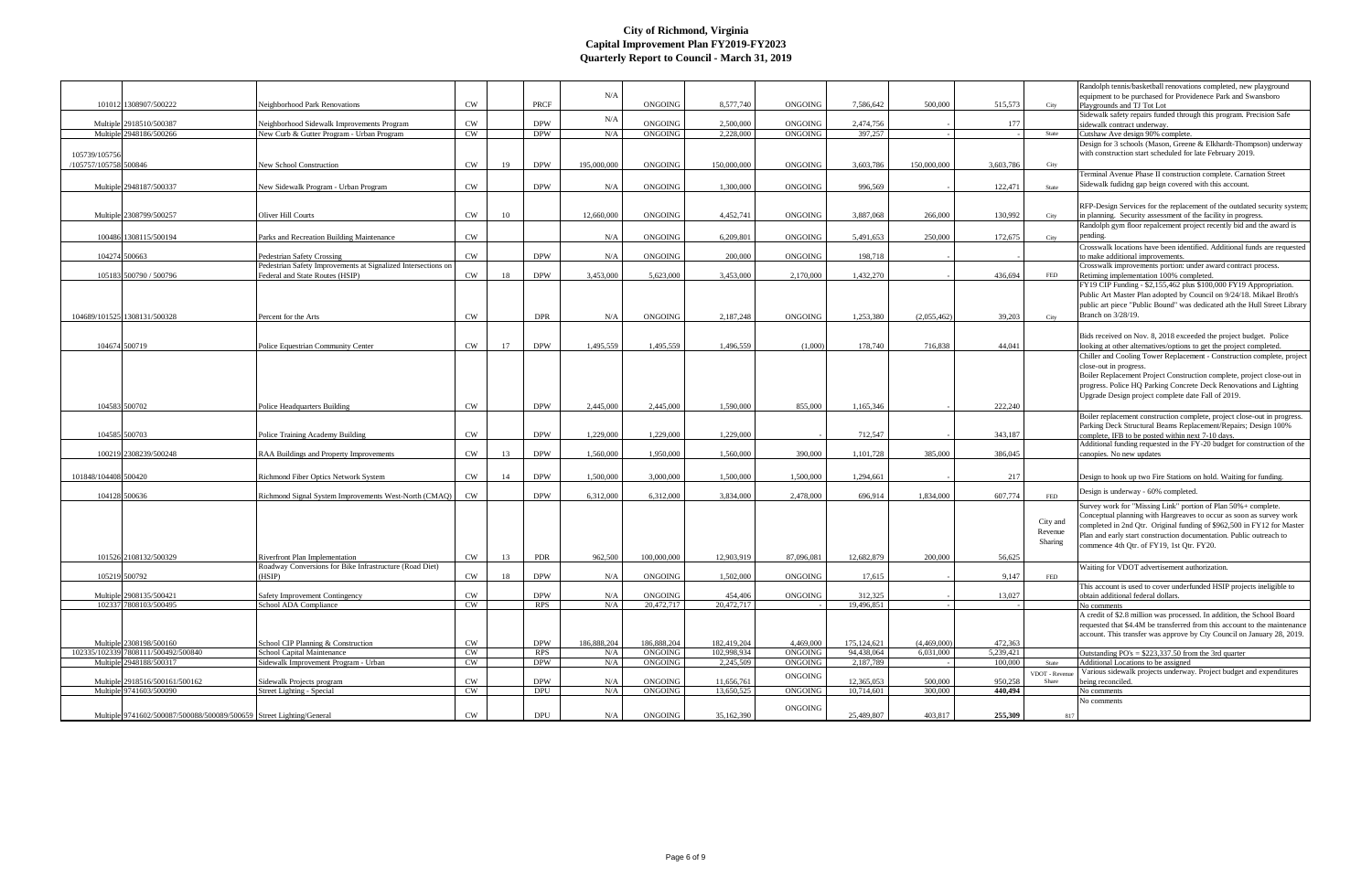|                       |                                                                      |                                                               |           |    |            |             |                |             |                |               |             |           |             | Randolph tennis/basketball renovations completed, new playground          |
|-----------------------|----------------------------------------------------------------------|---------------------------------------------------------------|-----------|----|------------|-------------|----------------|-------------|----------------|---------------|-------------|-----------|-------------|---------------------------------------------------------------------------|
|                       |                                                                      |                                                               |           |    |            | N/A         |                |             |                |               |             |           |             | equipment to be purchased for Providenece Park and Swansboro              |
|                       | 101012 1308907/500222                                                | Neighborhood Park Renovations                                 | <b>CW</b> |    | PRCF       |             | ONGOING        | 8,577,740   | <b>ONGOING</b> | 7.586.642     | 500,000     | 515.573   | City        | Playgrounds and TJ Tot Lot                                                |
|                       |                                                                      |                                                               |           |    |            | N/A         |                |             |                |               |             |           |             | Sidewalk safety repairs funded through this program. Precision Safe       |
|                       | Multiple 2918510/500387                                              | Neighborhood Sidewalk Improvements Program                    | CW        |    | <b>DPW</b> |             | ONGOING        | 2,500,000   | <b>ONGOING</b> | 2,474,756     |             | 177       |             | sidewalk contract underway.                                               |
|                       | Multiple 2948186/500266                                              | New Curb & Gutter Program - Urban Program                     | <b>CW</b> |    | <b>DPW</b> | N/A         | <b>ONGOING</b> | 2,228,000   | ONGOING        | 397,257       |             |           | State       | Cutshaw Ave design 90% complete.                                          |
|                       |                                                                      |                                                               |           |    |            |             |                |             |                |               |             |           |             | Design for 3 schools (Mason, Greene & Elkhardt-Thompson) underway         |
| 105739/105756         |                                                                      |                                                               |           |    |            |             |                |             |                |               |             |           |             | with construction start scheduled for late February 2019.                 |
|                       |                                                                      |                                                               |           |    |            |             |                |             |                |               |             |           |             |                                                                           |
| /105757/105758 500846 |                                                                      | New School Construction                                       | <b>CW</b> | 19 | <b>DPW</b> | 195,000,000 | ONGOING        | 150,000,000 | <b>ONGOING</b> | 3.603.786     | 150,000,000 | 3,603,786 | City        |                                                                           |
|                       |                                                                      |                                                               |           |    |            |             |                |             |                |               |             |           |             | Terminal Avenue Phase II construction complete. Carnation Street          |
|                       | Multiple 2948187/500337                                              | New Sidewalk Program - Urban Program                          | CW        |    | <b>DPW</b> | N/A         | ONGOING        | 1,300,000   | <b>ONGOING</b> | 996,569       |             | 122,471   | State       | Sidewalk fudidng gap beign covered with this account.                     |
|                       |                                                                      |                                                               |           |    |            |             |                |             |                |               |             |           |             |                                                                           |
|                       |                                                                      |                                                               |           |    |            |             |                |             |                |               |             |           |             | RFP-Design Services for the replacement of the outdated security system;  |
|                       |                                                                      | Oliver Hill Courts                                            | CW        |    |            |             |                |             |                |               |             |           |             |                                                                           |
|                       | Multiple 2308799/500257                                              |                                                               |           | 10 |            | 12,660,000  | ONGOING        | 4,452,741   | ONGOING        | 3,887,068     | 266,000     | 130,992   | City        | in planning. Security assessment of the facility in progress.             |
|                       |                                                                      |                                                               |           |    |            |             |                |             |                |               |             |           |             | Randolph gym floor repalcement project recently bid and the award is      |
|                       | 100486 1308115/500194                                                | Parks and Recreation Building Maintenance                     | CW        |    |            | N/A         | <b>ONGOING</b> | 6.209.801   | <b>ONGOING</b> | 5,491,653     | 250,000     | 172,675   | City        | pending.                                                                  |
|                       |                                                                      |                                                               |           |    |            |             |                |             |                |               |             |           |             | Crosswalk locations have been identified. Additional funds are requested  |
|                       | 104274 500663                                                        | <b>Pedestrian Safety Crossing</b>                             | CW        |    | <b>DPW</b> | N/A         | ONGOING        | 200,000     | <b>ONGOING</b> | 198,718       |             |           |             | to make additional improvements.                                          |
|                       |                                                                      | Pedestrian Safety Improvements at Signalized Intersections on |           |    |            |             |                |             |                |               |             |           |             | Crosswalk improvements portion: under award contract process.             |
|                       | 105183 500790 / 500796                                               | Federal and State Routes (HSIP)                               | <b>CW</b> | 18 | <b>DPW</b> | 3,453,000   | 5,623,000      | 3,453,000   | 2,170,000      | 1,432,270     |             | 436,694   | FED         |                                                                           |
|                       |                                                                      |                                                               |           |    |            |             |                |             |                |               |             |           |             | Retiming implementation 100% completed.                                   |
|                       |                                                                      |                                                               |           |    |            |             |                |             |                |               |             |           |             | FY19 CIP Funding - \$2,155,462 plus \$100,000 FY19 Appropriation.         |
|                       |                                                                      |                                                               |           |    |            |             |                |             |                |               |             |           |             | Public Art Master Plan adopted by Council on 9/24/18. Mikael Broth's      |
|                       |                                                                      |                                                               |           |    |            |             |                |             |                |               |             |           |             | public art piece "Public Bound" was dedicated ath the Hull Street Library |
|                       | 104689/101525 1308131/500328                                         | Percent for the Arts                                          | CW        |    | <b>DPR</b> | N/A         | ONGOING        | 2,187,248   | <b>ONGOING</b> | 1,253,380     | (2,055,462) | 39,203    | City        | Branch on 3/28/19.                                                        |
|                       |                                                                      |                                                               |           |    |            |             |                |             |                |               |             |           |             |                                                                           |
|                       |                                                                      |                                                               |           |    |            |             |                |             |                |               |             |           |             |                                                                           |
|                       |                                                                      |                                                               |           |    |            |             |                |             |                |               |             |           |             | Bids received on Nov. 8, 2018 exceeded the project budget. Police         |
|                       | 104674 500719                                                        | Police Equestrian Community Center                            | <b>CW</b> | 17 | <b>DPW</b> | 1.495.559   | 1.495.559      | 1.496.559   | (1.000)        | 178,740       | 716.838     | 44,041    |             | looking at other alternatives/options to get the project completed.       |
|                       |                                                                      |                                                               |           |    |            |             |                |             |                |               |             |           |             | Chiller and Cooling Tower Replacement - Construction complete, project    |
|                       |                                                                      |                                                               |           |    |            |             |                |             |                |               |             |           |             | close-out in progress.                                                    |
|                       |                                                                      |                                                               |           |    |            |             |                |             |                |               |             |           |             | Boiler Replacement Project Construction complete, project close-out in    |
|                       |                                                                      |                                                               |           |    |            |             |                |             |                |               |             |           |             | progress. Police HQ Parking Concrete Deck Renovations and Lighting        |
|                       |                                                                      |                                                               |           |    |            |             |                |             |                |               |             |           |             |                                                                           |
|                       |                                                                      |                                                               |           |    |            |             |                |             |                |               |             |           |             | Upgrade Design project complete date Fall of 2019.                        |
|                       | 104583 500702                                                        | Police Headquarters Building                                  | <b>CW</b> |    | <b>DPW</b> | 2,445,000   | 2,445,000      | 1,590,000   | 855,000        | 1,165,346     |             | 222,240   |             |                                                                           |
|                       |                                                                      |                                                               |           |    |            |             |                |             |                |               |             |           |             | Boiler replacement construction complete, project close-out in progress.  |
|                       |                                                                      |                                                               |           |    |            |             |                |             |                |               |             |           |             | Parking Deck Structural Beams Replacement/Repairs; Design 100%            |
|                       | 104585 500703                                                        | Police Training Academy Building                              | <b>CW</b> |    | <b>DPW</b> | 1,229,000   | 1,229,000      | 1,229,000   |                | 712,547       |             | 343,187   |             | complete, IFB to be posted within next 7-10 days.                         |
|                       |                                                                      |                                                               |           |    |            |             |                |             |                |               |             |           |             | Additional funding requested in the FY-20 budget for construction of the  |
|                       | 100219 2308239/500248                                                | RAA Buildings and Property Improvements                       | CW        | 13 | <b>DPW</b> | 1.560,000   | 1.950.000      | 1,560,000   | 390,000        | 1,101,728     | 385,000     | 386,045   |             | canopies. No new updates                                                  |
|                       |                                                                      |                                                               |           |    |            |             |                |             |                |               |             |           |             |                                                                           |
|                       |                                                                      |                                                               |           |    |            |             |                |             |                |               |             |           |             |                                                                           |
| 101848/104408 500420  |                                                                      | Richmond Fiber Optics Network System                          | <b>CW</b> | 14 | <b>DPW</b> | 1.500,000   | 3,000,000      | 1,500,000   | 1,500,000      | 1,294,661     |             | 217       |             | Design to hook up two Fire Stations on hold. Waiting for funding.         |
|                       |                                                                      |                                                               |           |    |            |             |                |             |                |               |             |           |             |                                                                           |
|                       | 104128 500636                                                        | Richmond Signal System Improvements West-North (CMAO)         | <b>CW</b> |    | <b>DPW</b> | 6,312,000   | 6,312,000      | 3.834,000   | 2.478,000      | 696,914       | 1,834,000   | 607,774   | FED         | Design is underway - 60% completed.                                       |
|                       |                                                                      |                                                               |           |    |            |             |                |             |                |               |             |           |             | Survey work for "Missing Link" portion of Plan 50%+ complete.             |
|                       |                                                                      |                                                               |           |    |            |             |                |             |                |               |             |           |             |                                                                           |
|                       |                                                                      |                                                               |           |    |            |             |                |             |                |               |             |           | City and    | Conceptual planning with Hargreaves to occur as soon as survey work       |
|                       |                                                                      |                                                               |           |    |            |             |                |             |                |               |             |           |             | completed in 2nd Qtr. Original funding of \$962,500 in FY12 for Master    |
|                       |                                                                      |                                                               |           |    |            |             |                |             |                |               |             |           | Revenue     | Plan and early start construction documentation. Public outreach to       |
|                       |                                                                      |                                                               |           |    |            |             |                |             |                |               |             |           | Sharing     | commence 4th Qtr. of FY19, 1st Qtr. FY20.                                 |
|                       |                                                                      |                                                               |           |    |            |             |                |             |                |               |             |           |             |                                                                           |
|                       | 101526 2108132/500329                                                | <b>Riverfront Plan Implementation</b>                         | <b>CW</b> | 13 | <b>PDR</b> | 962,500     | 100,000,000    | 12,903,919  | 87,096,081     | 12,682,879    | 200,000     | 56,625    |             |                                                                           |
|                       |                                                                      | Roadway Conversions for Bike Infrastructure (Road Diet)       |           |    |            |             |                |             |                |               |             |           |             | Waiting for VDOT advertisement authorization.                             |
|                       | 105219 500792                                                        | (HSIP)                                                        | <b>CW</b> | 18 | <b>DPW</b> | N/A         | <b>ONGOING</b> | 1,502,000   | ONGOING        | 17.615        |             | 9.147     | FED         |                                                                           |
|                       |                                                                      |                                                               |           |    |            |             |                |             |                |               |             |           |             | This account is used to cover underfunded HSIP projects ineligible to     |
|                       | Multiple 2908135/500421                                              | Safety Improvement Contingency                                | CW        |    | <b>DPW</b> | N/A         | <b>ONGOING</b> | 454,406     | ONGOING        | 312,325       |             | 13,027    |             | obtain additional federal dollars.                                        |
|                       | 102337 7808103/500495                                                | School ADA Compliance                                         | <b>CW</b> |    | <b>RPS</b> | N/A         | 20,472,717     | 20,472,717  |                | 19,496,851    |             |           |             | No comments                                                               |
|                       |                                                                      |                                                               |           |    |            |             |                |             |                |               |             |           |             | A credit of \$2.8 million was processed. In addition, the School Board    |
|                       |                                                                      |                                                               |           |    |            |             |                |             |                |               |             |           |             | requested that \$4.4M be transferred from this account to the maintenance |
|                       |                                                                      |                                                               |           |    |            |             |                |             |                |               |             |           |             |                                                                           |
|                       |                                                                      |                                                               |           |    |            |             |                |             |                |               |             |           |             | account. This transfer was approve by Cty Council on January 28, 2019.    |
|                       | Multiple 2308198/500160                                              | School CIP Planning & Construction                            | <b>CW</b> |    | <b>DPW</b> | 186,888,204 | 186,888,204    | 182,419,204 | 4,469,000      | 175, 124, 621 | (4,469,000) | 472,363   |             |                                                                           |
|                       | 102335/102339 7808111/500492/500840                                  | School Capital Maintenance                                    | CW        |    | <b>RPS</b> | N/A         | <b>ONGOING</b> | 102,998,934 | ONGOING        | 94,438,064    | 6,031,000   | 5,239,421 |             | Outstanding $PO's = $223.337.50$ from the 3rd quarter                     |
|                       | Multiple 2948188/500317                                              | Sidewalk Improvement Program - Urban                          | CW        |    | <b>DPW</b> | N/A         | ONGOING        | 2,245,509   | ONGOING        | 2,187,789     |             | 100,000   | State       | Additional Locations to be assigned                                       |
|                       |                                                                      |                                                               |           |    |            |             |                |             |                |               |             |           | VDOT - Reve | Various sidewalk projects underway. Project budget and expenditures       |
|                       | Multiple 2918516/500161/500162                                       | Sidewalk Projects program                                     | <b>CW</b> |    | <b>DPW</b> | N/A         | ONGOING        | 11,656,761  | ONGOING        | 12,365,053    | 500,000     | 950,258   | Share       | being reconciled.                                                         |
|                       | Multiple 9741603/500090                                              | <b>Street Lighting - Special</b>                              | CW        |    | <b>DPU</b> | $\rm N/A$   | ONGOING        | 13,650,525  | <b>ONGOING</b> | 10,714,601    | 300,000     | 440,494   |             | No comments                                                               |
|                       |                                                                      |                                                               |           |    |            |             |                |             |                |               |             |           |             | No comments                                                               |
|                       |                                                                      |                                                               |           |    |            |             |                |             | ONGOING        |               |             |           |             |                                                                           |
|                       | Multiple 9741602/500087/500088/500089/500659 Street Lighting/General |                                                               | CW        |    | <b>DPU</b> | N/A         | ONGOING        | 35,162,390  |                | 25,489,807    | 403,817     | 255,309   | 817         |                                                                           |
|                       |                                                                      |                                                               |           |    |            |             |                |             |                |               |             |           |             |                                                                           |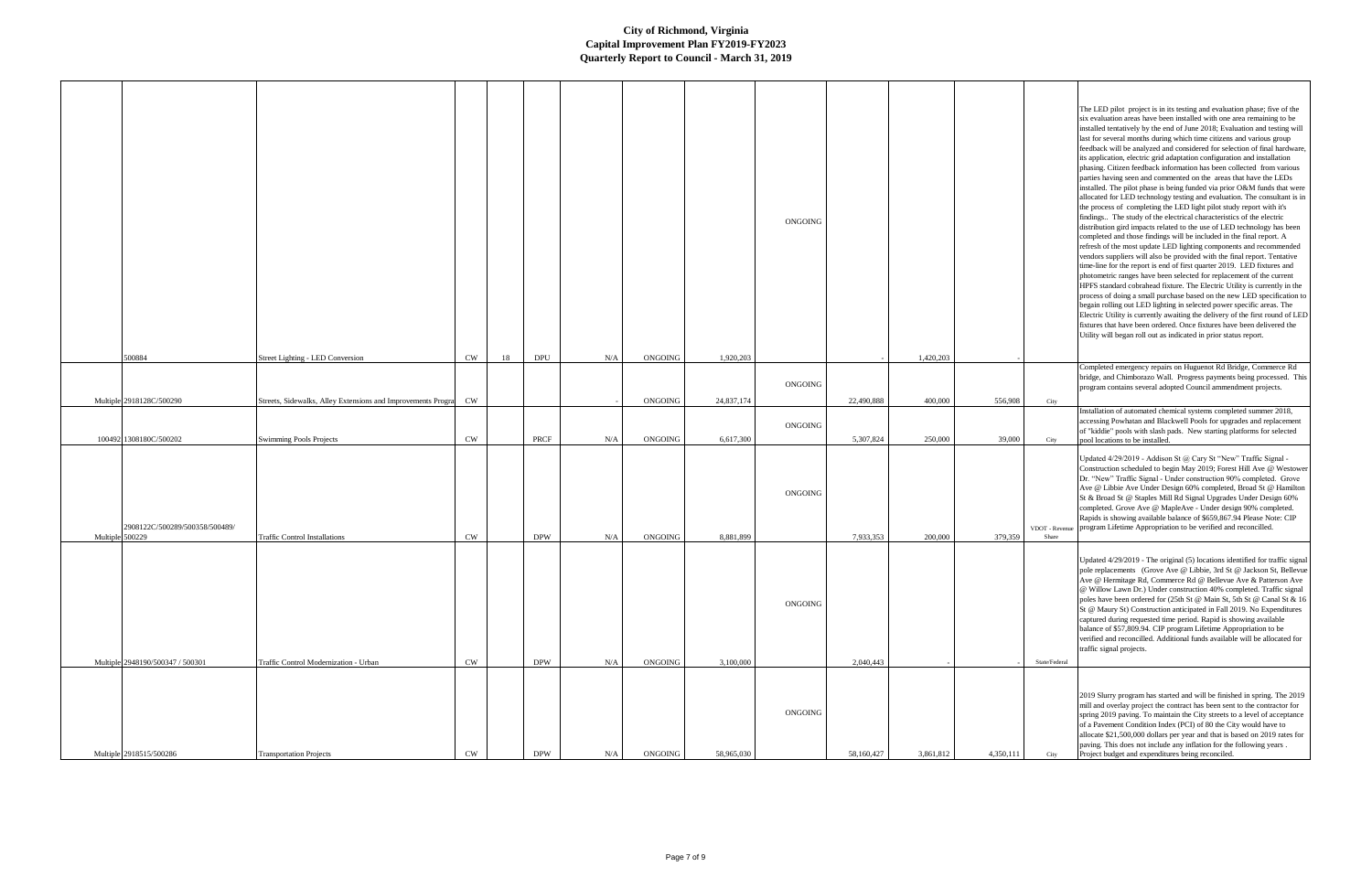|                 |                                  |                                                                        |               |    |            |           |         |            | ONGOING |            |           |           |                        |
|-----------------|----------------------------------|------------------------------------------------------------------------|---------------|----|------------|-----------|---------|------------|---------|------------|-----------|-----------|------------------------|
|                 | 500884                           | Street Lighting - LED Conversion                                       | CW            | 18 | DPU        | $\rm N/A$ | ONGOING | 1,920,203  |         |            | 1,420,203 |           |                        |
|                 |                                  |                                                                        |               |    |            |           |         |            | ONGOING |            |           |           |                        |
|                 | Multiple 2918128C/500290         | Streets, Sidewalks, Alley Extensions and Improvements Progra $\sim$ CW |               |    |            |           | ONGOING | 24,837,174 |         | 22,490,888 | 400,000   | 556,908   | City                   |
|                 |                                  |                                                                        |               |    |            |           |         |            | ONGOING |            |           |           |                        |
|                 | 100492 1308180C/500202           | Swimming Pools Projects                                                | $\mathrm{CW}$ |    | PRCF       | N/A       | ONGOING | 6,617,300  |         | 5,307,824  | 250,000   | 39,000    | City                   |
| Multiple 500229 | 2908122C/500289/500358/500489/   | Traffic Control Installations                                          | $\mathrm{CW}$ |    | <b>DPW</b> | $\rm N/A$ | ONGOING | 8,881,899  | ONGOING | 7,933,353  | 200,000   | 379,359   | VDOT - Revent<br>Share |
|                 |                                  |                                                                        |               |    |            |           |         |            | ONGOING |            |           |           |                        |
|                 | Multiple 2948190/500347 / 500301 | Traffic Control Modernization - Urban                                  | CW            |    | <b>DPW</b> | $\rm N/A$ | ONGOING | 3,100,000  |         | 2,040,443  |           |           | State/Federal          |
|                 |                                  |                                                                        |               |    |            |           |         |            | ONGOING |            |           |           |                        |
|                 | Multiple 2918515/500286          | <b>Transportation Projects</b>                                         | CW            |    | DPW        | N/A       | ONGOING | 58,965,030 |         | 58,160,427 | 3,861,812 | 4,350,111 | City                   |

|     |                         | The LED pilot project is in its testing and evaluation phase; five of the<br>six evaluation areas have been installed with one area remaining to be<br>installed tentatively by the end of June 2018; Evaluation and testing will<br>last for several months during which time citizens and various group<br>feedback will be analyzed and considered for selection of final hardware,<br>its application, electric grid adaptation configuration and installation<br>phasing. Citizen feedback information has been collected from various<br>parties having seen and commented on the areas that have the LEDs<br>installed. The pilot phase is being funded via prior O&M funds that were<br>allocated for LED technology testing and evaluation. The consultant is in<br>the process of completing the LED light pilot study report with it's<br>findings The study of the electrical characteristics of the electric<br>distribution gird impacts related to the use of LED technology has been<br>completed and those findings will be included in the final report. A<br>refresh of the most update LED lighting components and recommended<br>vendors suppliers will also be provided with the final report. Tentative<br>time-line for the report is end of first quarter 2019. LED fixtures and<br>photometric ranges have been selected for replacement of the current<br>HPFS standard cobrahead fixture. The Electric Utility is currently in the<br>process of doing a small purchase based on the new LED specification to<br>begain rolling out LED lighting in selected power specific areas. The<br>Electric Utility is currently awaiting the delivery of the first round of LED<br>fixtures that have been ordered. Once fixtures have been delivered the<br>Utility will began roll out as indicated in prior status report. |
|-----|-------------------------|---------------------------------------------------------------------------------------------------------------------------------------------------------------------------------------------------------------------------------------------------------------------------------------------------------------------------------------------------------------------------------------------------------------------------------------------------------------------------------------------------------------------------------------------------------------------------------------------------------------------------------------------------------------------------------------------------------------------------------------------------------------------------------------------------------------------------------------------------------------------------------------------------------------------------------------------------------------------------------------------------------------------------------------------------------------------------------------------------------------------------------------------------------------------------------------------------------------------------------------------------------------------------------------------------------------------------------------------------------------------------------------------------------------------------------------------------------------------------------------------------------------------------------------------------------------------------------------------------------------------------------------------------------------------------------------------------------------------------------------------------------------------------------------------------------------------------------------------------|
|     |                         |                                                                                                                                                                                                                                                                                                                                                                                                                                                                                                                                                                                                                                                                                                                                                                                                                                                                                                                                                                                                                                                                                                                                                                                                                                                                                                                                                                                                                                                                                                                                                                                                                                                                                                                                                                                                                                                   |
|     |                         | Completed emergency repairs on Huguenot Rd Bridge, Commerce Rd<br>bridge, and Chimborazo Wall. Progress payments being processed. This<br>program contains several adopted Council ammendment projects.                                                                                                                                                                                                                                                                                                                                                                                                                                                                                                                                                                                                                                                                                                                                                                                                                                                                                                                                                                                                                                                                                                                                                                                                                                                                                                                                                                                                                                                                                                                                                                                                                                           |
| 908 | City                    |                                                                                                                                                                                                                                                                                                                                                                                                                                                                                                                                                                                                                                                                                                                                                                                                                                                                                                                                                                                                                                                                                                                                                                                                                                                                                                                                                                                                                                                                                                                                                                                                                                                                                                                                                                                                                                                   |
| 000 | City                    | Installation of automated chemical systems completed summer 2018,<br>accessing Powhatan and Blackwell Pools for upgrades and replacement<br>of "kiddie" pools with slash pads. New starting platforms for selected<br>pool locations to be installed.                                                                                                                                                                                                                                                                                                                                                                                                                                                                                                                                                                                                                                                                                                                                                                                                                                                                                                                                                                                                                                                                                                                                                                                                                                                                                                                                                                                                                                                                                                                                                                                             |
| 359 | VDOT - Revenue<br>Share | Updated 4/29/2019 - Addison St @ Cary St "New" Traffic Signal -<br>Construction scheduled to begin May 2019; Forest Hill Ave @ Westower<br>Dr. "New" Traffic Signal - Under construction 90% completed. Grove<br>Ave @ Libbie Ave Under Design 60% completed, Broad St @ Hamilton<br>St & Broad St @ Staples Mill Rd Signal Upgrades Under Design 60%<br>completed. Grove Ave @ MapleAve - Under design 90% completed.<br>Rapids is showing available balance of \$659,867.94 Please Note: CIP<br>program Lifetime Appropriation to be verified and reconcilled.                                                                                                                                                                                                                                                                                                                                                                                                                                                                                                                                                                                                                                                                                                                                                                                                                                                                                                                                                                                                                                                                                                                                                                                                                                                                                  |
|     | State/Federal           | Updated 4/29/2019 - The original (5) locations identified for traffic signal<br>pole replacements (Grove Ave @ Libbie, 3rd St @ Jackson St, Bellevue<br>Ave @ Hermitage Rd, Commerce Rd @ Bellevue Ave & Patterson Ave<br>@ Willow Lawn Dr.) Under construction 40% completed. Traffic signal<br>poles have been ordered for (25th St @ Main St, 5th St @ Canal St & 16<br>St @ Maury St) Construction anticipated in Fall 2019. No Expenditures<br>captured during requested time period. Rapid is showing available<br>balance of \$57,809.94. CIP program Lifetime Appropriation to be<br>verified and reconcilled. Additional funds available will be allocated for<br>traffic signal projects.                                                                                                                                                                                                                                                                                                                                                                                                                                                                                                                                                                                                                                                                                                                                                                                                                                                                                                                                                                                                                                                                                                                                               |
|     |                         |                                                                                                                                                                                                                                                                                                                                                                                                                                                                                                                                                                                                                                                                                                                                                                                                                                                                                                                                                                                                                                                                                                                                                                                                                                                                                                                                                                                                                                                                                                                                                                                                                                                                                                                                                                                                                                                   |
|     |                         | 2019 Slurry program has started and will be finished in spring. The 2019<br>mill and overlay project the contract has been sent to the contractor for<br>spring 2019 paving. To maintain the City streets to a level of acceptance<br>of a Pavement Condition Index (PCI) of 80 the City would have to<br>allocate \$21,500,000 dollars per year and that is based on 2019 rates for<br>paving. This does not include any inflation for the following years.                                                                                                                                                                                                                                                                                                                                                                                                                                                                                                                                                                                                                                                                                                                                                                                                                                                                                                                                                                                                                                                                                                                                                                                                                                                                                                                                                                                      |
| 111 | City                    | Project budget and expenditures being reconciled.                                                                                                                                                                                                                                                                                                                                                                                                                                                                                                                                                                                                                                                                                                                                                                                                                                                                                                                                                                                                                                                                                                                                                                                                                                                                                                                                                                                                                                                                                                                                                                                                                                                                                                                                                                                                 |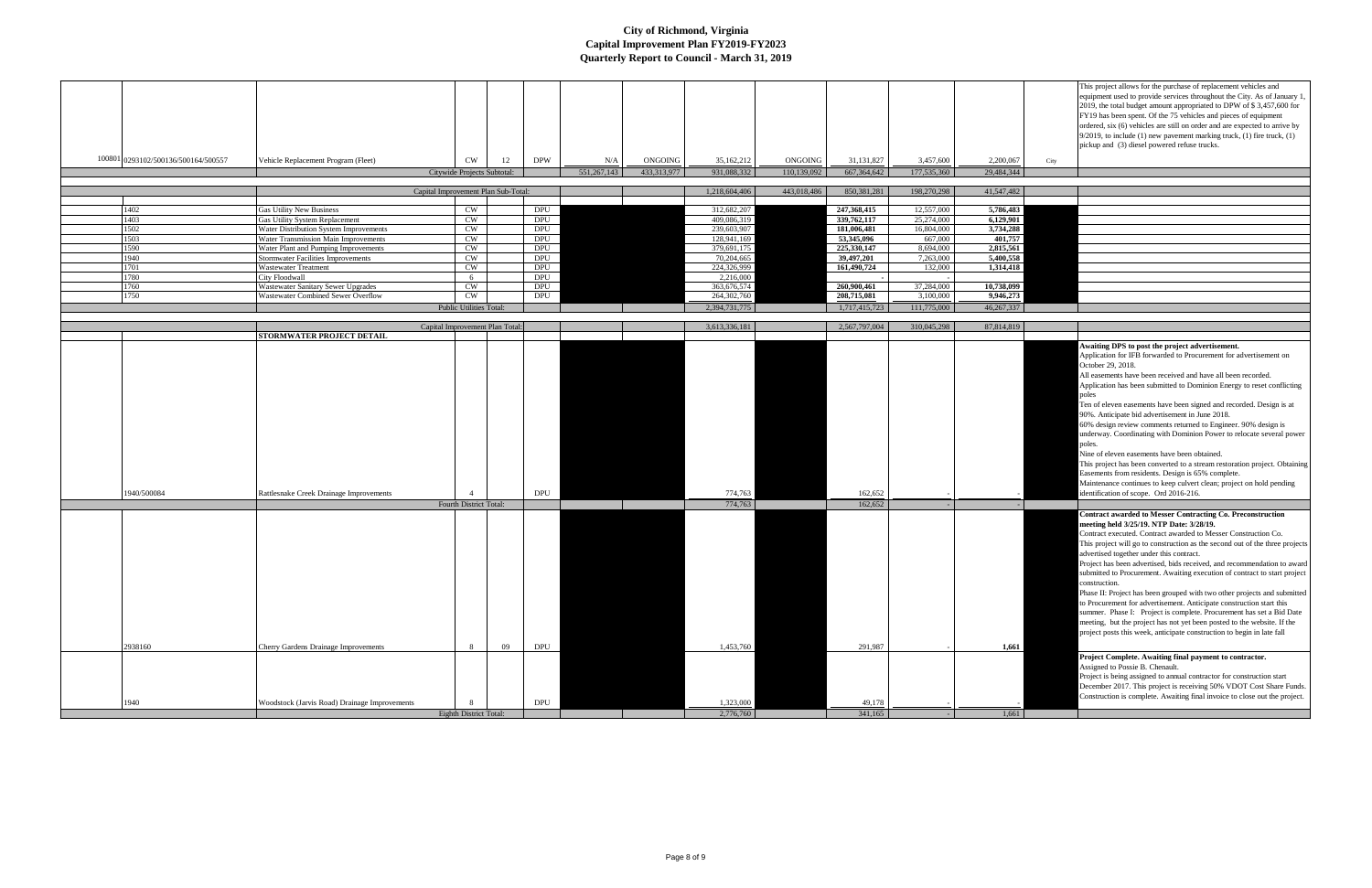| 100801 0293102/500136/500164/500557 | Vehicle Replacement Program (Fleet)                                               | <b>CW</b><br>Citywide Projects Subtotal: | <b>DPW</b><br>12 | N/A<br>551,267,143 | ONGOING<br>433,313,977 | 35,162,212<br>931,088,332  | ONGOING<br>110,139,092 | 31,131,827<br>667, 364, 642 | 3,457,600<br>177,535,360 | 2,200,067<br>29,484,344 | This project allows for the purchase of replacement vehicles and<br>equipment used to provide services throughout the City. As of January 1<br>2019, the total budget amount appropriated to DPW of \$3,457,600 for<br>FY19 has been spent. Of the 75 vehicles and pieces of equipment<br>ordered, six (6) vehicles are still on order and are expected to arrive by<br>$9/2019$ , to include (1) new pavement marking truck, (1) fire truck, (1)<br>pickup and (3) diesel powered refuse trucks.<br>City                                                                                                                                                                                                                                                                                                                    |
|-------------------------------------|-----------------------------------------------------------------------------------|------------------------------------------|------------------|--------------------|------------------------|----------------------------|------------------------|-----------------------------|--------------------------|-------------------------|------------------------------------------------------------------------------------------------------------------------------------------------------------------------------------------------------------------------------------------------------------------------------------------------------------------------------------------------------------------------------------------------------------------------------------------------------------------------------------------------------------------------------------------------------------------------------------------------------------------------------------------------------------------------------------------------------------------------------------------------------------------------------------------------------------------------------|
|                                     |                                                                                   |                                          |                  |                    |                        |                            |                        |                             |                          |                         |                                                                                                                                                                                                                                                                                                                                                                                                                                                                                                                                                                                                                                                                                                                                                                                                                              |
|                                     |                                                                                   | Capital Improvement Plan Sub-Total:      |                  |                    |                        | 1,218,604,406              | 443,018,486            | 850,381,281                 | 198,270,298              | 41,547,482              |                                                                                                                                                                                                                                                                                                                                                                                                                                                                                                                                                                                                                                                                                                                                                                                                                              |
| 1402                                | <b>Gas Utility New Business</b>                                                   | <b>CW</b>                                | DPU              |                    |                        | 312,682,207                |                        | 247,368,415                 | 12,557,000               | 5,786,483               |                                                                                                                                                                                                                                                                                                                                                                                                                                                                                                                                                                                                                                                                                                                                                                                                                              |
| 1403                                | Gas Utility System Replacement                                                    | <b>CW</b>                                | DPU              |                    |                        | 409,086,319                |                        | 339,762,117                 | 25,274,000               | 6,129,901               |                                                                                                                                                                                                                                                                                                                                                                                                                                                                                                                                                                                                                                                                                                                                                                                                                              |
| 1502                                | Water Distribution System Improvements                                            | <b>CW</b>                                | DPU              |                    |                        | 239,603,907                |                        | 181,006,481                 | 16,804,000               | 3,734,288               |                                                                                                                                                                                                                                                                                                                                                                                                                                                                                                                                                                                                                                                                                                                                                                                                                              |
| 1503                                | Water Transmission Main Improvements                                              | CW                                       | <b>DPU</b>       |                    |                        | 128,941,169                |                        | 53,345,096                  | 667,000                  | 401,757                 |                                                                                                                                                                                                                                                                                                                                                                                                                                                                                                                                                                                                                                                                                                                                                                                                                              |
| 1590<br>1940                        | Water Plant and Pumping Improvements<br><b>Stormwater Facilities Improvements</b> | <b>CW</b><br><b>CW</b>                   | DPU              | DPU                |                        | 379,691,175<br>70,204,665  |                        | 225,330,147<br>39,497,201   | 8,694,000<br>7,263,000   | 2,815,561<br>5,400,558  |                                                                                                                                                                                                                                                                                                                                                                                                                                                                                                                                                                                                                                                                                                                                                                                                                              |
| 1701                                | <b>Wastewater Treatment</b>                                                       | <b>CW</b>                                | DPU              |                    |                        | 224,326,999                |                        | 161,490,724                 | 132,000                  | 1,314,418               |                                                                                                                                                                                                                                                                                                                                                                                                                                                                                                                                                                                                                                                                                                                                                                                                                              |
| 1780                                | City Floodwall                                                                    | - 6                                      | DPU              |                    |                        | 2,216,000                  |                        |                             |                          |                         |                                                                                                                                                                                                                                                                                                                                                                                                                                                                                                                                                                                                                                                                                                                                                                                                                              |
| 1760<br>1750                        | <b>Wastewater Sanitary Sewer Upgrades</b><br>Wastewater Combined Sewer Overflow   | <b>CW</b><br><b>CW</b>                   | DPU<br>DPU       |                    |                        | 363,676,574<br>264,302,760 |                        | 260,900,461<br>208,715,081  | 37,284,000<br>3,100,000  | 10,738,099<br>9,946,273 |                                                                                                                                                                                                                                                                                                                                                                                                                                                                                                                                                                                                                                                                                                                                                                                                                              |
|                                     |                                                                                   | <b>Public Utilities Total:</b>           |                  |                    |                        | 2,394,731,775              |                        | 1,717,415,723               | 111,775,000              | 46, 267, 337            |                                                                                                                                                                                                                                                                                                                                                                                                                                                                                                                                                                                                                                                                                                                                                                                                                              |
|                                     |                                                                                   |                                          |                  |                    |                        |                            |                        |                             |                          |                         |                                                                                                                                                                                                                                                                                                                                                                                                                                                                                                                                                                                                                                                                                                                                                                                                                              |
|                                     |                                                                                   | Capital Improvement Plan Total:          |                  |                    |                        | 3,613,336,181              |                        | 2,567,797,004               | 310,045,298              | 87,814,819              |                                                                                                                                                                                                                                                                                                                                                                                                                                                                                                                                                                                                                                                                                                                                                                                                                              |
|                                     | <b>STORMWATER PROJECT DETAIL</b>                                                  |                                          |                  |                    |                        |                            |                        |                             |                          |                         | Awaiting DPS to post the project advertisement.                                                                                                                                                                                                                                                                                                                                                                                                                                                                                                                                                                                                                                                                                                                                                                              |
| 1940/500084                         | Rattlesnake Creek Drainage Improvements                                           | Fourth District Total:                   | DPU              |                    |                        | 774,763<br>774,763         |                        | 162,652<br>162,652          |                          |                         | Application for IFB forwarded to Procurement for advertisement on<br>October 29, 2018.<br>All easements have been received and have all been recorded.<br>Application has been submitted to Dominion Energy to reset conflicting<br>poles<br>Ten of eleven easements have been signed and recorded. Design is at<br>90%. Anticipate bid advertisement in June 2018.<br>60% design review comments returned to Engineer. 90% design is<br>underway. Coordinating with Dominion Power to relocate several power<br>poles.<br>Nine of eleven easements have been obtained.<br>This project has been converted to a stream restoration project. Obtaining<br>Easements from residents. Design is 65% complete.<br>Maintenance continues to keep culvert clean; project on hold pending<br>identification of scope. Ord 2016-216. |
|                                     |                                                                                   |                                          |                  |                    |                        |                            |                        |                             |                          |                         | <b>Contract awarded to Messer Contracting Co. Preconstruction</b>                                                                                                                                                                                                                                                                                                                                                                                                                                                                                                                                                                                                                                                                                                                                                            |
| 2938160                             | Cherry Gardens Drainage Improvements                                              | 8                                        | 09<br>DPU        |                    |                        | 1,453,760                  |                        | 291,987                     |                          | 1,661                   | meeting held 3/25/19. NTP Date: 3/28/19.<br>Contract executed. Contract awarded to Messer Construction Co.<br>This project will go to construction as the second out of the three projects<br>advertised together under this contract.<br>Project has been advertised, bids received, and recommendation to award<br>submitted to Procurement. Awaiting execution of contract to start project<br>construction.<br>Phase II: Project has been grouped with two other projects and submitted<br>to Procurement for advertisement. Anticipate construction start this<br>summer. Phase I: Project is complete. Procurement has set a Bid Date<br>meeting, but the project has not yet been posted to the website. If the<br>project posts this week, anticipate construction to begin in late fall                             |
|                                     |                                                                                   |                                          |                  |                    |                        |                            |                        |                             |                          |                         | Project Complete. Awaiting final payment to contractor.                                                                                                                                                                                                                                                                                                                                                                                                                                                                                                                                                                                                                                                                                                                                                                      |
| 1940                                | Woodstock (Jarvis Road) Drainage Improvements                                     |                                          | <b>DPU</b>       |                    |                        | 1,323,000                  |                        | 49,178                      |                          |                         | Assigned to Possie B. Chenault.<br>Project is being assigned to annual contractor for construction start<br>December 2017. This project is receiving 50% VDOT Cost Share Funds.<br>Construction is complete. Awaiting final invoice to close out the project.                                                                                                                                                                                                                                                                                                                                                                                                                                                                                                                                                                |
|                                     |                                                                                   | <b>Eighth District Total:</b>            |                  |                    |                        | 2,776,760                  |                        | 341,165                     |                          | 1,661                   |                                                                                                                                                                                                                                                                                                                                                                                                                                                                                                                                                                                                                                                                                                                                                                                                                              |